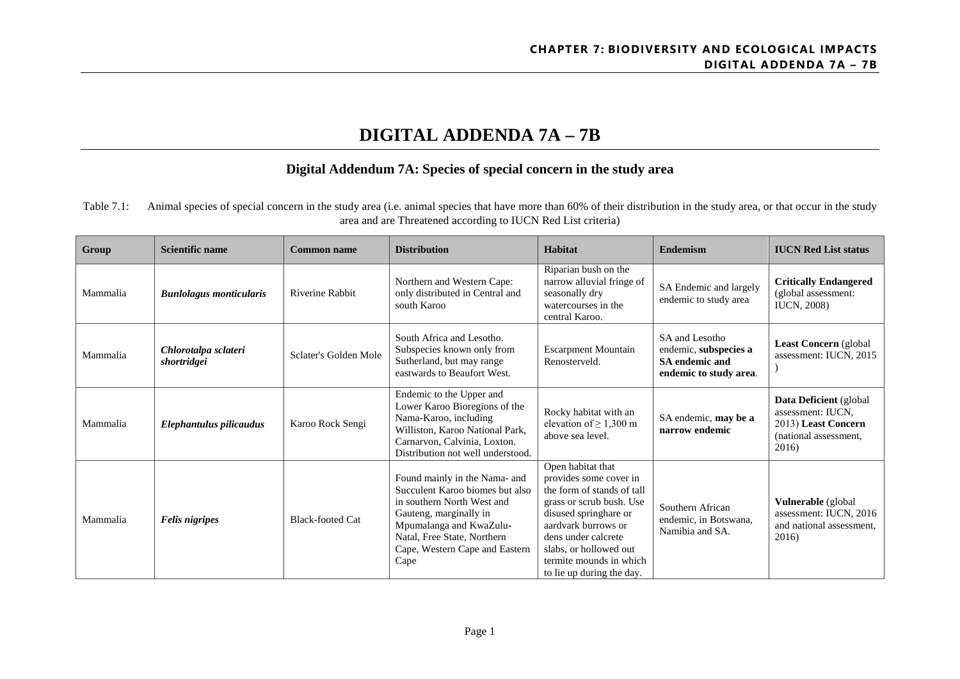# **DIGITAL ADDENDA 7A – 7B**

## **Digital Addendum 7A: Species of special concern in the study area**

Table 7.1: Animal species of special concern in the study area (i.e. animal species that have more than 60% of their distribution in the study area, or that occur in the study area and are Threatened according to IUCN Red List criteria)

| Group    | <b>Scientific name</b>              | <b>Common name</b>      | <b>Distribution</b>                                                                                                                                                                                                          | Habitat                                                                                                                                                                                                                                                        | <b>Endemism</b>                                                                            | <b>IUCN Red List status</b>                                                                          |
|----------|-------------------------------------|-------------------------|------------------------------------------------------------------------------------------------------------------------------------------------------------------------------------------------------------------------------|----------------------------------------------------------------------------------------------------------------------------------------------------------------------------------------------------------------------------------------------------------------|--------------------------------------------------------------------------------------------|------------------------------------------------------------------------------------------------------|
| Mammalia | <b>Bunlolagus monticularis</b>      | Riverine Rabbit         | Northern and Western Cape:<br>only distributed in Central and<br>south Karoo                                                                                                                                                 | Riparian bush on the<br>narrow alluvial fringe of<br>seasonally dry<br>watercourses in the<br>central Karoo.                                                                                                                                                   | SA Endemic and largely<br>endemic to study area                                            | <b>Critically Endangered</b><br>(global assessment:<br><b>IUCN, 2008)</b>                            |
| Mammalia | Chlorotalpa sclateri<br>shortridgei | Sclater's Golden Mole   | South Africa and Lesotho.<br>Subspecies known only from<br>Sutherland, but may range<br>eastwards to Beaufort West.                                                                                                          | <b>Escarpment Mountain</b><br>Renosterveld.                                                                                                                                                                                                                    | SA and Lesotho<br>endemic, subspecies a<br><b>SA</b> endemic and<br>endemic to study area. | Least Concern (global<br>assessment: IUCN, 2015                                                      |
| Mammalia | Elephantulus pilicaudus             | Karoo Rock Sengi        | Endemic to the Upper and<br>Lower Karoo Bioregions of the<br>Nama-Karoo, including<br>Williston, Karoo National Park,<br>Carnarvon, Calvinia, Loxton.<br>Distribution not well understood.                                   | Rocky habitat with an<br>elevation of $\geq 1,300$ m<br>above sea level.                                                                                                                                                                                       | SA endemic, may be a<br>narrow endemic                                                     | Data Deficient (global<br>assessment: IUCN.<br>2013) Least Concern<br>(national assessment,<br>2016) |
| Mammalia | <b>Felis nigripes</b>               | <b>Black-footed Cat</b> | Found mainly in the Nama- and<br>Succulent Karoo biomes but also<br>in southern North West and<br>Gauteng, marginally in<br>Mpumalanga and KwaZulu-<br>Natal, Free State, Northern<br>Cape, Western Cape and Eastern<br>Cape | Open habitat that<br>provides some cover in<br>the form of stands of tall<br>grass or scrub bush. Use<br>disused springhare or<br>aardvark burrows or<br>dens under calcrete<br>slabs, or hollowed out<br>termite mounds in which<br>to lie up during the day. | Southern African<br>endemic, in Botswana,<br>Namibia and SA.                               | Vulnerable (global<br>assessment: IUCN, 2016<br>and national assessment,<br>2016)                    |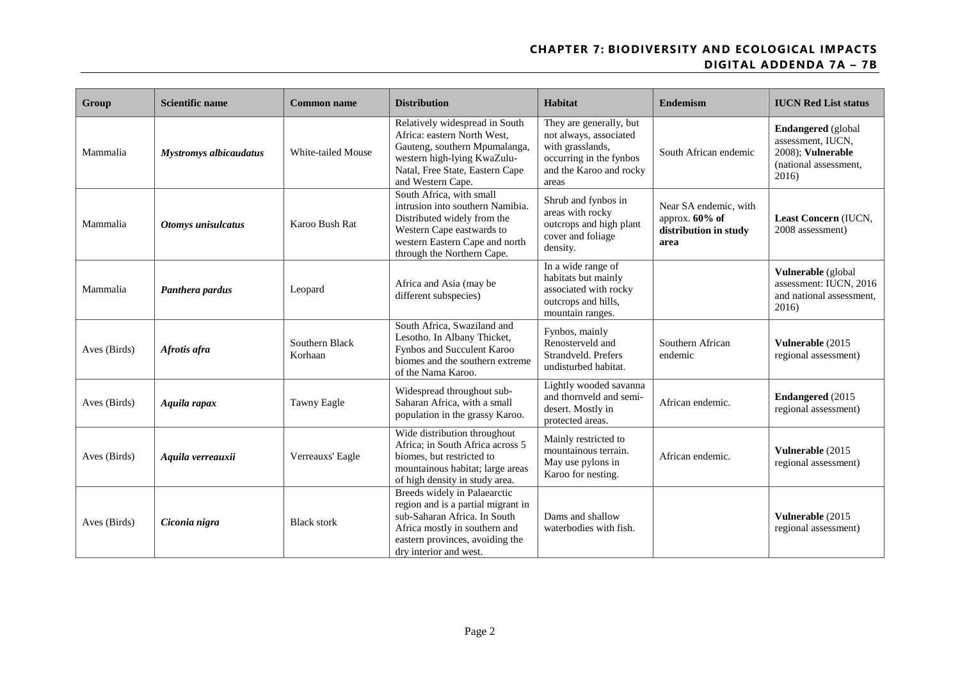| Group        | <b>Scientific name</b>        | Common name               | <b>Distribution</b>                                                                                                                                                                              | Habitat                                                                                                                              | <b>Endemism</b>                                                             | <b>IUCN Red List status</b>                                                                           |
|--------------|-------------------------------|---------------------------|--------------------------------------------------------------------------------------------------------------------------------------------------------------------------------------------------|--------------------------------------------------------------------------------------------------------------------------------------|-----------------------------------------------------------------------------|-------------------------------------------------------------------------------------------------------|
| Mammalia     | <b>Mystromys albicaudatus</b> | White-tailed Mouse        | Relatively widespread in South<br>Africa: eastern North West,<br>Gauteng, southern Mpumalanga,<br>western high-lying KwaZulu-<br>Natal, Free State, Eastern Cape<br>and Western Cape.            | They are generally, but<br>not always, associated<br>with grasslands,<br>occurring in the fynbos<br>and the Karoo and rocky<br>areas | South African endemic                                                       | <b>Endangered</b> (global<br>assessment, IUCN,<br>2008); Vulnerable<br>(national assessment,<br>2016) |
| Mammalia     | Otomys unisulcatus            | Karoo Bush Rat            | South Africa, with small<br>intrusion into southern Namibia.<br>Distributed widely from the<br>Western Cape eastwards to<br>western Eastern Cape and north<br>through the Northern Cape.         | Shrub and fynbos in<br>areas with rocky<br>outcrops and high plant<br>cover and foliage<br>density.                                  | Near SA endemic, with<br>approx. $60\%$ of<br>distribution in study<br>area | Least Concern (IUCN,<br>2008 assessment)                                                              |
| Mammalia     | Panthera pardus               | Leopard                   | Africa and Asia (may be<br>different subspecies)                                                                                                                                                 | In a wide range of<br>habitats but mainly<br>associated with rocky<br>outcrops and hills,<br>mountain ranges.                        |                                                                             | Vulnerable (global<br>assessment: IUCN, 2016<br>and national assessment.<br>2016)                     |
| Aves (Birds) | Afrotis afra                  | Southern Black<br>Korhaan | South Africa, Swaziland and<br>Lesotho. In Albany Thicket,<br>Fynbos and Succulent Karoo<br>biomes and the southern extreme<br>of the Nama Karoo.                                                | Fynbos, mainly<br>Renosterveld and<br>Strandveld. Prefers<br>undisturbed habitat.                                                    | Southern African<br>endemic                                                 | Vulnerable (2015)<br>regional assessment)                                                             |
| Aves (Birds) | Aquila rapax                  | Tawny Eagle               | Widespread throughout sub-<br>Saharan Africa, with a small<br>population in the grassy Karoo.                                                                                                    | Lightly wooded savanna<br>and thornveld and semi-<br>desert. Mostly in<br>protected areas.                                           | African endemic.                                                            | <b>Endangered</b> (2015<br>regional assessment)                                                       |
| Aves (Birds) | Aquila verreauxii             | Verreauxs' Eagle          | Wide distribution throughout<br>Africa; in South Africa across 5<br>biomes, but restricted to<br>mountainous habitat; large areas<br>of high density in study area.                              | Mainly restricted to<br>mountainous terrain.<br>May use pylons in<br>Karoo for nesting.                                              | African endemic.                                                            | Vulnerable (2015)<br>regional assessment)                                                             |
| Aves (Birds) | Ciconia nigra                 | <b>Black stork</b>        | Breeds widely in Palaearctic<br>region and is a partial migrant in<br>sub-Saharan Africa. In South<br>Africa mostly in southern and<br>eastern provinces, avoiding the<br>dry interior and west. | Dams and shallow<br>waterbodies with fish.                                                                                           |                                                                             | Vulnerable (2015)<br>regional assessment)                                                             |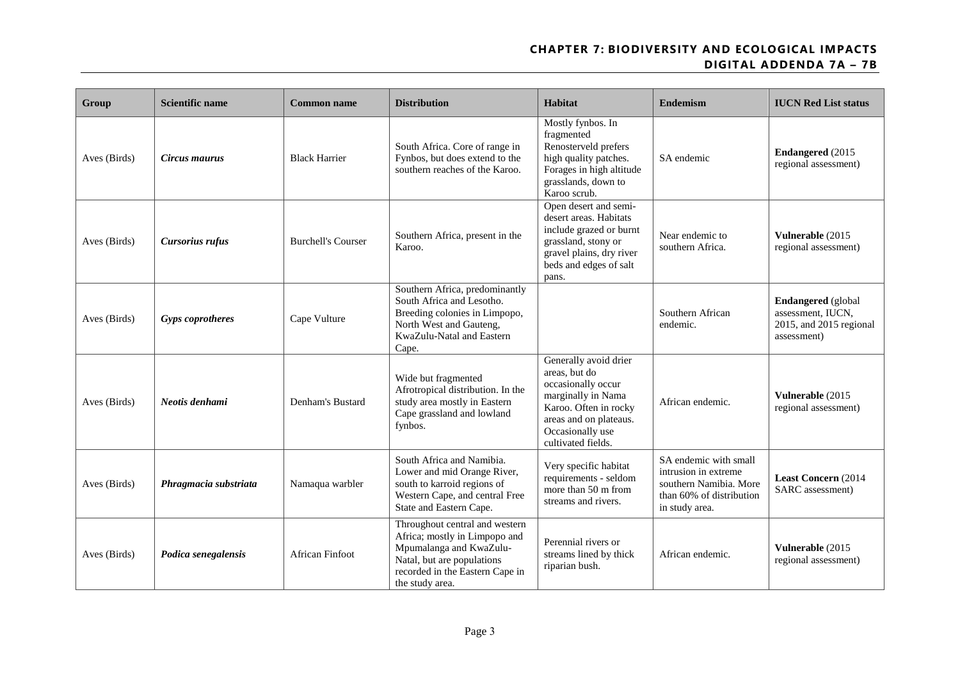| Group        | <b>Scientific name</b>  | <b>Common name</b>        | <b>Distribution</b>                                                                                                                                                            | Habitat                                                                                                                                                                         | <b>Endemism</b>                                                                                                       | <b>IUCN Red List status</b>                                                              |
|--------------|-------------------------|---------------------------|--------------------------------------------------------------------------------------------------------------------------------------------------------------------------------|---------------------------------------------------------------------------------------------------------------------------------------------------------------------------------|-----------------------------------------------------------------------------------------------------------------------|------------------------------------------------------------------------------------------|
| Aves (Birds) | Circus maurus           | <b>Black Harrier</b>      | South Africa. Core of range in<br>Fynbos, but does extend to the<br>southern reaches of the Karoo.                                                                             | Mostly fynbos. In<br>fragmented<br>Renosterveld prefers<br>high quality patches.<br>Forages in high altitude<br>grasslands, down to<br>Karoo scrub.                             | SA endemic                                                                                                            | <b>Endangered</b> (2015)<br>regional assessment)                                         |
| Aves (Birds) | Cursorius rufus         | <b>Burchell's Courser</b> | Southern Africa, present in the<br>Karoo.                                                                                                                                      | Open desert and semi-<br>desert areas. Habitats<br>include grazed or burnt<br>grassland, stony or<br>gravel plains, dry river<br>beds and edges of salt<br>pans.                | Near endemic to<br>southern Africa.                                                                                   | Vulnerable (2015<br>regional assessment)                                                 |
| Aves (Birds) | <b>Gyps coprotheres</b> | Cape Vulture              | Southern Africa, predominantly<br>South Africa and Lesotho.<br>Breeding colonies in Limpopo,<br>North West and Gauteng,<br>KwaZulu-Natal and Eastern<br>Cape.                  |                                                                                                                                                                                 | Southern African<br>endemic.                                                                                          | <b>Endangered</b> (global<br>assessment, IUCN,<br>2015, and 2015 regional<br>assessment) |
| Aves (Birds) | Neotis denhami          | Denham's Bustard          | Wide but fragmented<br>Afrotropical distribution. In the<br>study area mostly in Eastern<br>Cape grassland and lowland<br>fynbos.                                              | Generally avoid drier<br>areas, but do<br>occasionally occur<br>marginally in Nama<br>Karoo. Often in rocky<br>areas and on plateaus.<br>Occasionally use<br>cultivated fields. | African endemic.                                                                                                      | Vulnerable (2015<br>regional assessment)                                                 |
| Aves (Birds) | Phragmacia substriata   | Namaqua warbler           | South Africa and Namibia.<br>Lower and mid Orange River,<br>south to karroid regions of<br>Western Cape, and central Free<br>State and Eastern Cape.                           | Very specific habitat<br>requirements - seldom<br>more than 50 m from<br>streams and rivers.                                                                                    | SA endemic with small<br>intrusion in extreme<br>southern Namibia. More<br>than 60% of distribution<br>in study area. | <b>Least Concern (2014)</b><br>SARC assessment)                                          |
| Aves (Birds) | Podica senegalensis     | <b>African Finfoot</b>    | Throughout central and western<br>Africa; mostly in Limpopo and<br>Mpumalanga and KwaZulu-<br>Natal, but are populations<br>recorded in the Eastern Cape in<br>the study area. | Perennial rivers or<br>streams lined by thick<br>riparian bush.                                                                                                                 | African endemic.                                                                                                      | Vulnerable (2015<br>regional assessment)                                                 |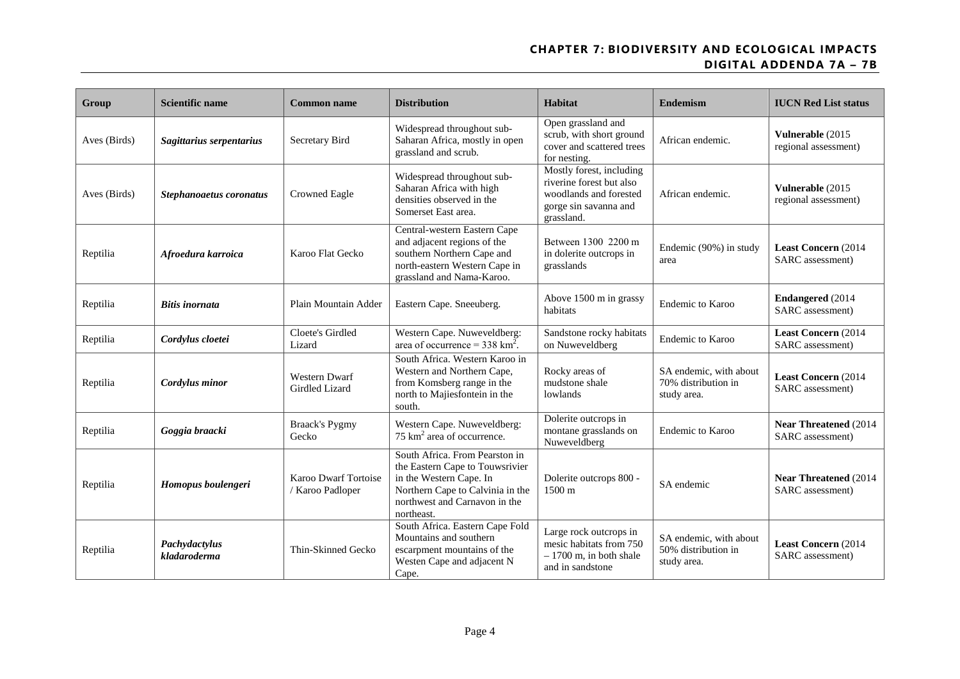| Group        | <b>Scientific name</b>        | <b>Common name</b>                       | <b>Distribution</b>                                                                                                                                                             | Habitat                                                                                                               | Endemism                                                     | <b>IUCN Red List status</b>                       |
|--------------|-------------------------------|------------------------------------------|---------------------------------------------------------------------------------------------------------------------------------------------------------------------------------|-----------------------------------------------------------------------------------------------------------------------|--------------------------------------------------------------|---------------------------------------------------|
| Aves (Birds) | Sagittarius serpentarius      | Secretary Bird                           | Widespread throughout sub-<br>Saharan Africa, mostly in open<br>grassland and scrub.                                                                                            | Open grassland and<br>scrub, with short ground<br>cover and scattered trees<br>for nesting.                           | African endemic.                                             | Vulnerable (2015<br>regional assessment)          |
| Aves (Birds) | Stephanoaetus coronatus       | <b>Crowned Eagle</b>                     | Widespread throughout sub-<br>Saharan Africa with high<br>densities observed in the<br>Somerset East area.                                                                      | Mostly forest, including<br>riverine forest but also<br>woodlands and forested<br>gorge sin savanna and<br>grassland. | African endemic.                                             | Vulnerable (2015)<br>regional assessment)         |
| Reptilia     | Afroedura karroica            | Karoo Flat Gecko                         | Central-western Eastern Cape<br>and adjacent regions of the<br>southern Northern Cape and<br>north-eastern Western Cape in<br>grassland and Nama-Karoo.                         | Between 1300 2200 m<br>in dolerite outcrops in<br>grasslands                                                          | Endemic (90%) in study<br>area                               | <b>Least Concern (2014)</b><br>SARC assessment)   |
| Reptilia     | <b>Bitis inornata</b>         | Plain Mountain Adder                     | Eastern Cape. Sneeuberg.                                                                                                                                                        | Above 1500 m in grassy<br>habitats                                                                                    | <b>Endemic to Karoo</b>                                      | <b>Endangered</b> (2014<br>SARC assessment)       |
| Reptilia     | Cordylus cloetei              | Cloete's Girdled<br>Lizard               | Western Cape. Nuweveldberg:<br>area of occurrence = $338 \text{ km}^2$ .                                                                                                        | Sandstone rocky habitats<br>on Nuweveldberg                                                                           | <b>Endemic to Karoo</b>                                      | Least Concern (2014<br>SARC assessment)           |
| Reptilia     | Cordylus minor                | Western Dwarf<br>Girdled Lizard          | South Africa. Western Karoo in<br>Western and Northern Cape,<br>from Komsberg range in the<br>north to Majiesfontein in the<br>south.                                           | Rocky areas of<br>mudstone shale<br>lowlands                                                                          | SA endemic, with about<br>70% distribution in<br>study area. | Least Concern (2014<br>SARC assessment)           |
| Reptilia     | Goggia braacki                | <b>Braack's Pygmy</b><br>Gecko           | Western Cape. Nuweveldberg:<br>75 km <sup>2</sup> area of occurrence.                                                                                                           | Dolerite outcrops in<br>montane grasslands on<br>Nuweveldberg                                                         | <b>Endemic to Karoo</b>                                      | <b>Near Threatened (2014)</b><br>SARC assessment) |
| Reptilia     | Homopus boulengeri            | Karoo Dwarf Tortoise<br>/ Karoo Padloper | South Africa. From Pearston in<br>the Eastern Cape to Touwsrivier<br>in the Western Cape. In<br>Northern Cape to Calvinia in the<br>northwest and Carnavon in the<br>northeast. | Dolerite outcrops 800 -<br>$1500 \text{ m}$                                                                           | SA endemic                                                   | <b>Near Threatened (2014)</b><br>SARC assessment) |
| Reptilia     | Pachydactylus<br>kladaroderma | Thin-Skinned Gecko                       | South Africa. Eastern Cape Fold<br>Mountains and southern<br>escarpment mountains of the<br>Westen Cape and adjacent N<br>Cape.                                                 | Large rock outcrops in<br>mesic habitats from 750<br>$-1700$ m, in both shale<br>and in sandstone                     | SA endemic, with about<br>50% distribution in<br>study area. | <b>Least Concern (2014)</b><br>SARC assessment)   |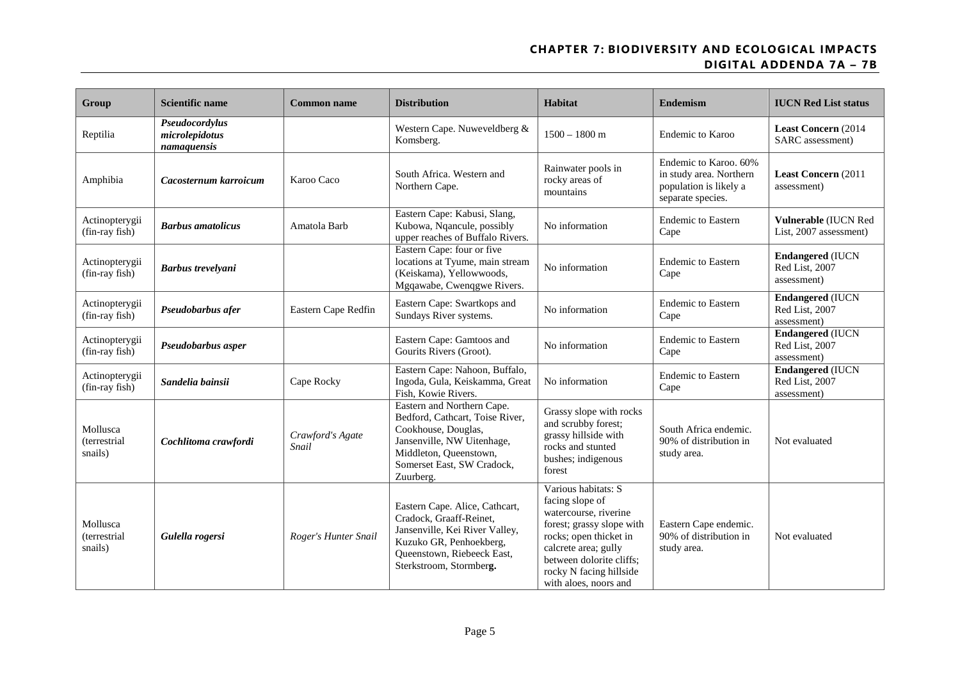| Group                               | <b>Scientific name</b>                          | <b>Common name</b>        | <b>Distribution</b>                                                                                                                                                                     | Habitat                                                                                                                                                                                                                        | <b>Endemism</b>                                                                                 | <b>IUCN Red List status</b>                               |
|-------------------------------------|-------------------------------------------------|---------------------------|-----------------------------------------------------------------------------------------------------------------------------------------------------------------------------------------|--------------------------------------------------------------------------------------------------------------------------------------------------------------------------------------------------------------------------------|-------------------------------------------------------------------------------------------------|-----------------------------------------------------------|
| Reptilia                            | Pseudocordylus<br>microlepidotus<br>namaquensis |                           | Western Cape. Nuweveldberg &<br>Komsberg.                                                                                                                                               | $1500 - 1800$ m                                                                                                                                                                                                                | <b>Endemic to Karoo</b>                                                                         | Least Concern (2014<br>SARC assessment)                   |
| Amphibia                            | Cacosternum karroicum                           | Karoo Caco                | South Africa. Western and<br>Northern Cape.                                                                                                                                             | Rainwater pools in<br>rocky areas of<br>mountains                                                                                                                                                                              | Endemic to Karoo. 60%<br>in study area. Northern<br>population is likely a<br>separate species. | <b>Least Concern (2011)</b><br>assessment)                |
| Actinopterygii<br>(fin-ray fish)    | <b>Barbus</b> amatolicus                        | Amatola Barb              | Eastern Cape: Kabusi, Slang,<br>Kubowa, Nqancule, possibly<br>upper reaches of Buffalo Rivers.                                                                                          | No information                                                                                                                                                                                                                 | <b>Endemic to Eastern</b><br>Cape                                                               | Vulnerable (IUCN Red<br>List, 2007 assessment)            |
| Actinopterygii<br>(fin-ray fish)    | <b>Barbus trevelyani</b>                        |                           | Eastern Cape: four or five<br>locations at Tyume, main stream<br>(Keiskama), Yellowwoods,<br>Mgqawabe, Cwenqgwe Rivers.                                                                 | No information                                                                                                                                                                                                                 | <b>Endemic to Eastern</b><br>Cape                                                               | <b>Endangered (IUCN</b><br>Red List, 2007<br>assessment)  |
| Actinopterygii<br>(fin-ray fish)    | Pseudobarbus afer                               | Eastern Cape Redfin       | Eastern Cape: Swartkops and<br>Sundays River systems.                                                                                                                                   | No information                                                                                                                                                                                                                 | <b>Endemic to Eastern</b><br>Cape                                                               | <b>Endangered (IUCN</b><br>Red List, 2007<br>assessment)  |
| Actinopterygii<br>(fin-ray fish)    | Pseudobarbus asper                              |                           | Eastern Cape: Gamtoos and<br>Gourits Rivers (Groot).                                                                                                                                    | No information                                                                                                                                                                                                                 | <b>Endemic to Eastern</b><br>Cape                                                               | <b>Endangered (IUCN)</b><br>Red List, 2007<br>assessment) |
| Actinopterygii<br>(fin-ray fish)    | Sandelia bainsii                                | Cape Rocky                | Eastern Cape: Nahoon, Buffalo,<br>Ingoda, Gula, Keiskamma, Great<br>Fish, Kowie Rivers.                                                                                                 | No information                                                                                                                                                                                                                 | <b>Endemic to Eastern</b><br>Cape                                                               | <b>Endangered (IUCN</b><br>Red List, 2007<br>assessment)  |
| Mollusca<br>(terrestrial<br>snails) | Cochlitoma crawfordi                            | Crawford's Agate<br>Snail | Eastern and Northern Cape.<br>Bedford, Cathcart, Toise River,<br>Cookhouse, Douglas,<br>Jansenville, NW Uitenhage,<br>Middleton, Queenstown,<br>Somerset East, SW Cradock,<br>Zuurberg. | Grassy slope with rocks<br>and scrubby forest;<br>grassy hillside with<br>rocks and stunted<br>bushes; indigenous<br>forest                                                                                                    | South Africa endemic.<br>90% of distribution in<br>study area.                                  | Not evaluated                                             |
| Mollusca<br>(terrestrial<br>snails) | Gulella rogersi                                 | Roger's Hunter Snail      | Eastern Cape. Alice, Cathcart,<br>Cradock, Graaff-Reinet,<br>Jansenville, Kei River Valley,<br>Kuzuko GR, Penhoekberg,<br>Queenstown, Riebeeck East,<br>Sterkstroom, Stormberg.         | Various habitats: S<br>facing slope of<br>watercourse, riverine<br>forest; grassy slope with<br>rocks; open thicket in<br>calcrete area; gully<br>between dolorite cliffs;<br>rocky N facing hillside<br>with aloes, noors and | Eastern Cape endemic.<br>90% of distribution in<br>study area.                                  | Not evaluated                                             |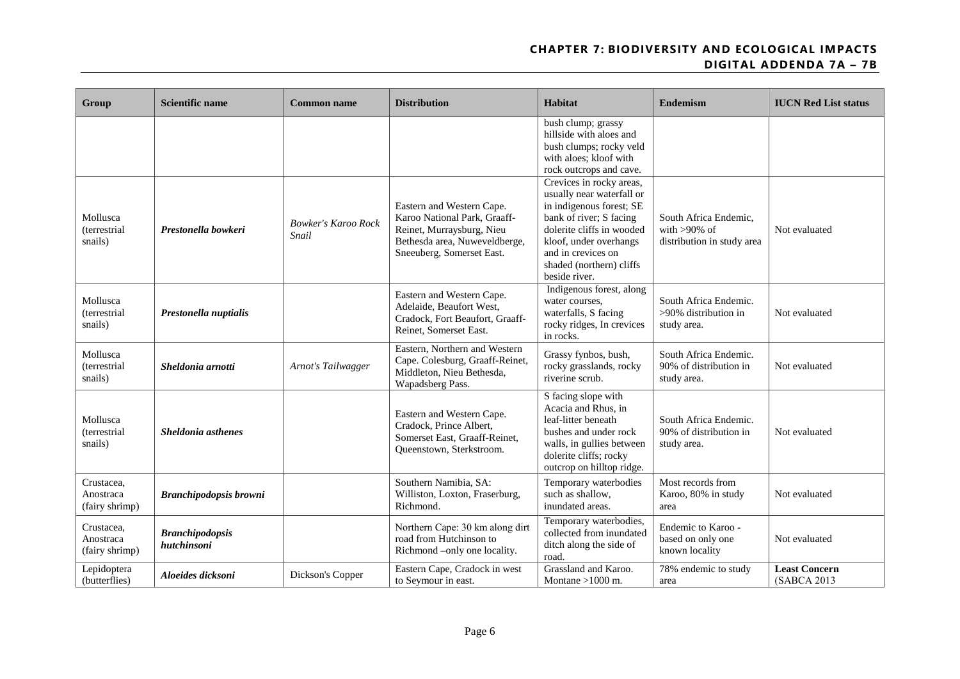| Group                                      | Scientific name                       | <b>Common name</b>                  | <b>Distribution</b>                                                                                                                                  | <b>Habitat</b>                                                                                                                                                                                                                         | <b>Endemism</b>                                                        | <b>IUCN Red List status</b>          |
|--------------------------------------------|---------------------------------------|-------------------------------------|------------------------------------------------------------------------------------------------------------------------------------------------------|----------------------------------------------------------------------------------------------------------------------------------------------------------------------------------------------------------------------------------------|------------------------------------------------------------------------|--------------------------------------|
|                                            |                                       |                                     |                                                                                                                                                      | bush clump; grassy<br>hillside with aloes and<br>bush clumps; rocky veld<br>with aloes; kloof with<br>rock outcrops and cave.                                                                                                          |                                                                        |                                      |
| Mollusca<br>(terrestrial<br>snails)        | Prestonella bowkeri                   | <b>Bowker's Karoo Rock</b><br>Snail | Eastern and Western Cape.<br>Karoo National Park, Graaff-<br>Reinet, Murraysburg, Nieu<br>Bethesda area, Nuweveldberge,<br>Sneeuberg, Somerset East. | Crevices in rocky areas,<br>usually near waterfall or<br>in indigenous forest; SE<br>bank of river; S facing<br>dolerite cliffs in wooded<br>kloof, under overhangs<br>and in crevices on<br>shaded (northern) cliffs<br>beside river. | South Africa Endemic,<br>with $>90\%$ of<br>distribution in study area | Not evaluated                        |
| Mollusca<br>(terrestrial<br>snails)        | Prestonella nuptialis                 |                                     | Eastern and Western Cape.<br>Adelaide, Beaufort West,<br>Cradock, Fort Beaufort, Graaff-<br>Reinet, Somerset East.                                   | Indigenous forest, along<br>water courses,<br>waterfalls, S facing<br>rocky ridges, In crevices<br>in rocks.                                                                                                                           | South Africa Endemic.<br>>90% distribution in<br>study area.           | Not evaluated                        |
| Mollusca<br><i>(terrestrial</i><br>snails) | Sheldonia arnotti                     | Arnot's Tailwagger                  | Eastern, Northern and Western<br>Cape. Colesburg, Graaff-Reinet,<br>Middleton, Nieu Bethesda,<br>Wapadsberg Pass.                                    | Grassy fynbos, bush,<br>rocky grasslands, rocky<br>riverine scrub.                                                                                                                                                                     | South Africa Endemic.<br>90% of distribution in<br>study area.         | Not evaluated                        |
| Mollusca<br><i>(terrestrial</i><br>snails) | Sheldonia asthenes                    |                                     | Eastern and Western Cape.<br>Cradock, Prince Albert,<br>Somerset East, Graaff-Reinet,<br>Queenstown, Sterkstroom.                                    | S facing slope with<br>Acacia and Rhus, in<br>leaf-litter beneath<br>bushes and under rock<br>walls, in gullies between<br>dolerite cliffs; rocky<br>outcrop on hilltop ridge.                                                         | South Africa Endemic.<br>90% of distribution in<br>study area.         | Not evaluated                        |
| Crustacea,<br>Anostraca<br>(fairy shrimp)  | <b>Branchipodopsis browni</b>         |                                     | Southern Namibia, SA:<br>Williston, Loxton, Fraserburg,<br>Richmond.                                                                                 | Temporary waterbodies<br>such as shallow.<br>inundated areas.                                                                                                                                                                          | Most records from<br>Karoo, 80% in study<br>area                       | Not evaluated                        |
| Crustacea,<br>Anostraca<br>(fairy shrimp)  | <b>Branchipodopsis</b><br>hutchinsoni |                                     | Northern Cape: 30 km along dirt<br>road from Hutchinson to<br>Richmond -only one locality.                                                           | Temporary waterbodies,<br>collected from inundated<br>ditch along the side of<br>road.                                                                                                                                                 | Endemic to Karoo -<br>based on only one<br>known locality              | Not evaluated                        |
| Lepidoptera<br>(butterflies)               | Aloeides dicksoni                     | Dickson's Copper                    | Eastern Cape, Cradock in west<br>to Seymour in east.                                                                                                 | Grassland and Karoo.<br>Montane $>1000$ m.                                                                                                                                                                                             | 78% endemic to study<br>area                                           | <b>Least Concern</b><br>(SABCA 2013) |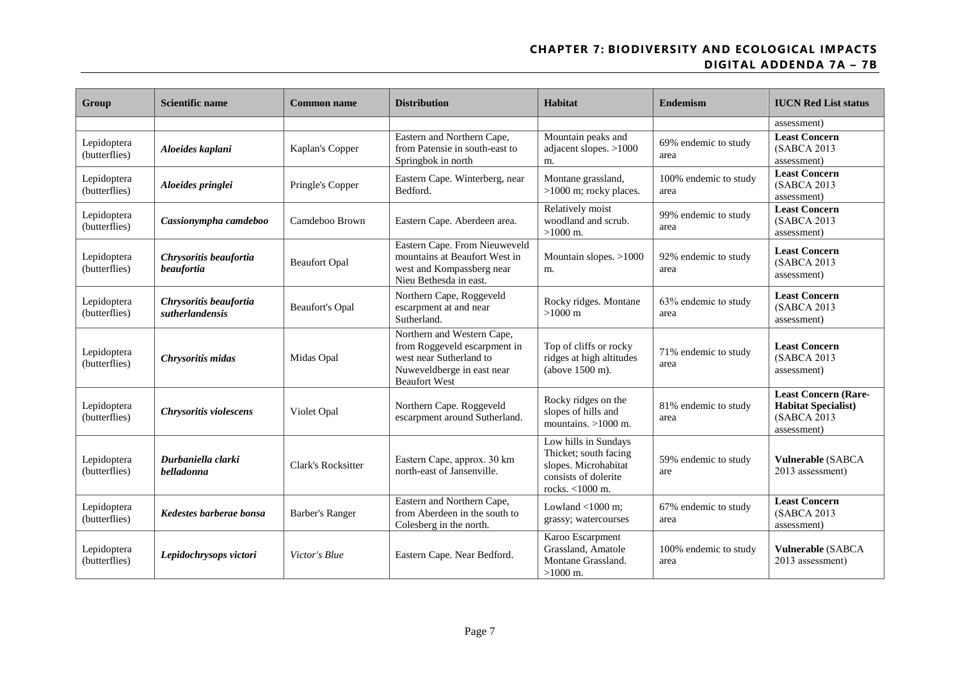| <b>Group</b>                 | <b>Scientific name</b>                      | <b>Common name</b>     | <b>Distribution</b>                                                                                                                         | <b>Habitat</b>                                                                                                   | <b>Endemism</b>               | <b>IUCN Red List status</b>                                                             |
|------------------------------|---------------------------------------------|------------------------|---------------------------------------------------------------------------------------------------------------------------------------------|------------------------------------------------------------------------------------------------------------------|-------------------------------|-----------------------------------------------------------------------------------------|
|                              |                                             |                        |                                                                                                                                             |                                                                                                                  |                               | assessment)                                                                             |
| Lepidoptera<br>(butterflies) | Aloeides kaplani                            | Kaplan's Copper        | Eastern and Northern Cape,<br>from Patensie in south-east to<br>Springbok in north                                                          | Mountain peaks and<br>adjacent slopes. $>1000$<br>m.                                                             | 69% endemic to study<br>area  | <b>Least Concern</b><br>(SABCA 2013)<br>assessment)                                     |
| Lepidoptera<br>(butterflies) | Aloeides pringlei                           | Pringle's Copper       | Eastern Cape. Winterberg, near<br>Bedford.                                                                                                  | Montane grassland,<br>>1000 m; rocky places.                                                                     | 100% endemic to study<br>area | <b>Least Concern</b><br>(SABCA 2013)<br>assessment)                                     |
| Lepidoptera<br>(butterflies) | Cassionympha camdeboo                       | Camdeboo Brown         | Eastern Cape. Aberdeen area.                                                                                                                | Relatively moist<br>woodland and scrub.<br>$>1000$ m.                                                            | 99% endemic to study<br>area  | <b>Least Concern</b><br>(SABCA 2013)<br>assessment)                                     |
| Lepidoptera<br>(butterflies) | Chrysoritis beaufortia<br><i>beaufortia</i> | <b>Beaufort Opal</b>   | Eastern Cape. From Nieuweveld<br>mountains at Beaufort West in<br>west and Kompassberg near<br>Nieu Bethesda in east.                       | Mountain slopes. >1000<br>m.                                                                                     | 92% endemic to study<br>area  | <b>Least Concern</b><br>(SABCA 2013)<br>assessment)                                     |
| Lepidoptera<br>(butterflies) | Chrysoritis beaufortia<br>sutherlandensis   | <b>Beaufort's Opal</b> | Northern Cape, Roggeveld<br>escarpment at and near<br>Sutherland.                                                                           | Rocky ridges. Montane<br>$>1000 \text{ m}$                                                                       | 63% endemic to study<br>area  | <b>Least Concern</b><br>(SABCA 2013)<br>assessment)                                     |
| Lepidoptera<br>(butterflies) | Chrysoritis midas                           | Midas Opal             | Northern and Western Cape,<br>from Roggeveld escarpment in<br>west near Sutherland to<br>Nuweveldberge in east near<br><b>Beaufort West</b> | Top of cliffs or rocky<br>ridges at high altitudes<br>(above 1500 m).                                            | 71% endemic to study<br>area  | <b>Least Concern</b><br>(SABCA 2013)<br>assessment)                                     |
| Lepidoptera<br>(butterflies) | Chrysoritis violescens                      | Violet Opal            | Northern Cape. Roggeveld<br>escarpment around Sutherland.                                                                                   | Rocky ridges on the<br>slopes of hills and<br>mountains. $>1000$ m.                                              | 81% endemic to study<br>area  | <b>Least Concern (Rare-</b><br><b>Habitat Specialist)</b><br>(SABCA 2013<br>assessment) |
| Lepidoptera<br>(butterflies) | Durbaniella clarki<br>belladonna            | Clark's Rocksitter     | Eastern Cape, approx. 30 km<br>north-east of Jansenville.                                                                                   | Low hills in Sundays<br>Thicket; south facing<br>slopes. Microhabitat<br>consists of dolerite<br>rocks. <1000 m. | 59% endemic to study<br>are   | <b>Vulnerable (SABCA</b><br>2013 assessment)                                            |
| Lepidoptera<br>(butterflies) | Kedestes barberae bonsa                     | <b>Barber's Ranger</b> | Eastern and Northern Cape,<br>from Aberdeen in the south to<br>Colesberg in the north.                                                      | Lowland $<$ 1000 m;<br>grassy; watercourses                                                                      | 67% endemic to study<br>area  | <b>Least Concern</b><br>(SABCA 2013)<br>assessment)                                     |
| Lepidoptera<br>(butterflies) | Lepidochrysops victori                      | Victor's Blue          | Eastern Cape. Near Bedford.                                                                                                                 | Karoo Escarpment<br>Grassland, Amatole<br>Montane Grassland.<br>$>1000$ m.                                       | 100% endemic to study<br>area | <b>Vulnerable (SABCA</b><br>2013 assessment)                                            |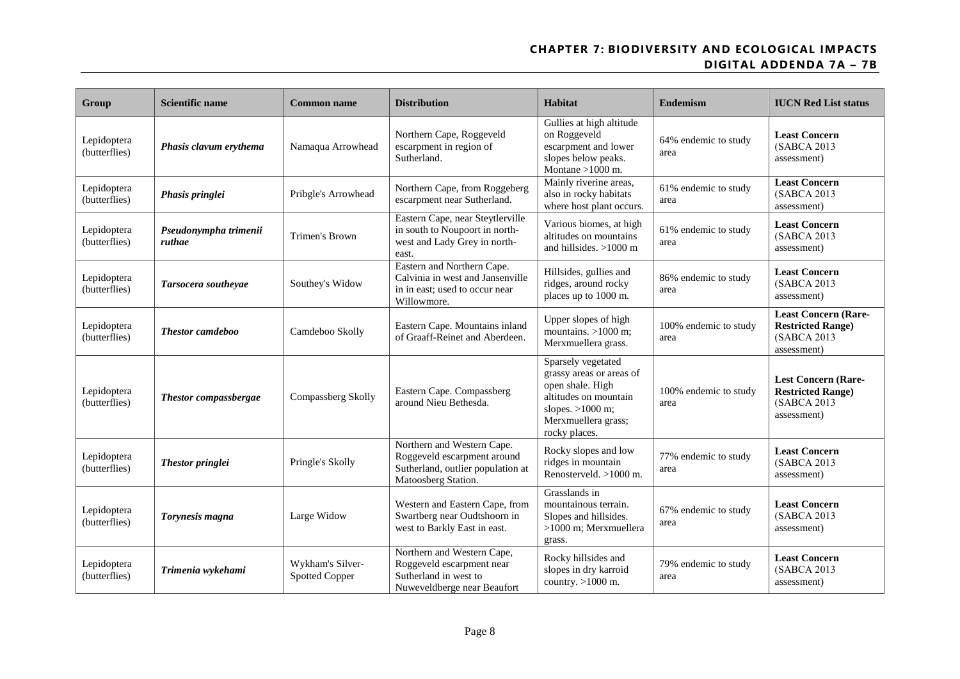| Group                        | <b>Scientific name</b>          | <b>Common name</b>                        | <b>Distribution</b>                                                                                                   | <b>Habitat</b>                                                                                                                                            | <b>Endemism</b>               | <b>IUCN Red List status</b>                                                            |
|------------------------------|---------------------------------|-------------------------------------------|-----------------------------------------------------------------------------------------------------------------------|-----------------------------------------------------------------------------------------------------------------------------------------------------------|-------------------------------|----------------------------------------------------------------------------------------|
| Lepidoptera<br>(butterflies) | Phasis clavum erythema          | Namaqua Arrowhead                         | Northern Cape, Roggeveld<br>escarpment in region of<br>Sutherland.                                                    | Gullies at high altitude<br>on Roggeveld<br>escarpment and lower<br>slopes below peaks.<br>Montane $>1000$ m.                                             | 64% endemic to study<br>area  | <b>Least Concern</b><br>(SABCA 2013)<br>assessment)                                    |
| Lepidoptera<br>(butterflies) | Phasis pringlei                 | Pribgle's Arrowhead                       | Northern Cape, from Roggeberg<br>escarpment near Sutherland.                                                          | Mainly riverine areas,<br>also in rocky habitats<br>where host plant occurs.                                                                              | 61% endemic to study<br>area  | <b>Least Concern</b><br>(SABCA 2013)<br>assessment)                                    |
| Lepidoptera<br>(butterflies) | Pseudonympha trimenii<br>ruthae | Trimen's Brown                            | Eastern Cape, near Steytlerville<br>in south to Noupoort in north-<br>west and Lady Grey in north-<br>east.           | Various biomes, at high<br>altitudes on mountains<br>and hillsides. >1000 m                                                                               | 61% endemic to study<br>area  | <b>Least Concern</b><br>(SABCA 2013)<br>assessment)                                    |
| Lepidoptera<br>(butterflies) | Tarsocera southeyae             | Southey's Widow                           | Eastern and Northern Cape.<br>Calvinia in west and Jansenville<br>in in east; used to occur near<br>Willowmore.       | Hillsides, gullies and<br>ridges, around rocky<br>places up to 1000 m.                                                                                    | 86% endemic to study<br>area  | <b>Least Concern</b><br>(SABCA 2013)<br>assessment)                                    |
| Lepidoptera<br>(butterflies) | <b>Thestor</b> camdeboo         | Camdeboo Skolly                           | Eastern Cape. Mountains inland<br>of Graaff-Reinet and Aberdeen.                                                      | Upper slopes of high<br>mountains. $>1000$ m;<br>Merxmuellera grass.                                                                                      | 100% endemic to study<br>area | <b>Least Concern (Rare-</b><br><b>Restricted Range)</b><br>(SABCA 2013)<br>assessment) |
| Lepidoptera<br>(butterflies) | Thestor compassbergae           | Compassberg Skolly                        | Eastern Cape. Compassberg<br>around Nieu Bethesda.                                                                    | Sparsely vegetated<br>grassy areas or areas of<br>open shale. High<br>altitudes on mountain<br>slopes. $>1000$ m;<br>Merxmuellera grass;<br>rocky places. | 100% endemic to study<br>area | <b>Lest Concern (Rare-</b><br><b>Restricted Range)</b><br>(SABCA 2013<br>assessment)   |
| Lepidoptera<br>(butterflies) | Thestor pringlei                | Pringle's Skolly                          | Northern and Western Cape.<br>Roggeveld escarpment around<br>Sutherland, outlier population at<br>Matoosberg Station. | Rocky slopes and low<br>ridges in mountain<br>Renosterveld. $>1000$ m.                                                                                    | 77% endemic to study<br>area  | <b>Least Concern</b><br>(SABCA 2013)<br>assessment)                                    |
| Lepidoptera<br>(butterflies) | Torynesis magna                 | Large Widow                               | Western and Eastern Cape, from<br>Swartberg near Oudtshoorn in<br>west to Barkly East in east.                        | Grasslands in<br>mountainous terrain.<br>Slopes and hillsides.<br>>1000 m; Merxmuellera<br>grass.                                                         | 67% endemic to study<br>area  | <b>Least Concern</b><br>(SABCA 2013)<br>assessment)                                    |
| Lepidoptera<br>(butterflies) | Trimenia wykehami               | Wykham's Silver-<br><b>Spotted Copper</b> | Northern and Western Cape,<br>Roggeveld escarpment near<br>Sutherland in west to<br>Nuweveldberge near Beaufort       | Rocky hillsides and<br>slopes in dry karroid<br>country. $>1000$ m.                                                                                       | 79% endemic to study<br>area  | <b>Least Concern</b><br>(SABCA 2013<br>assessment)                                     |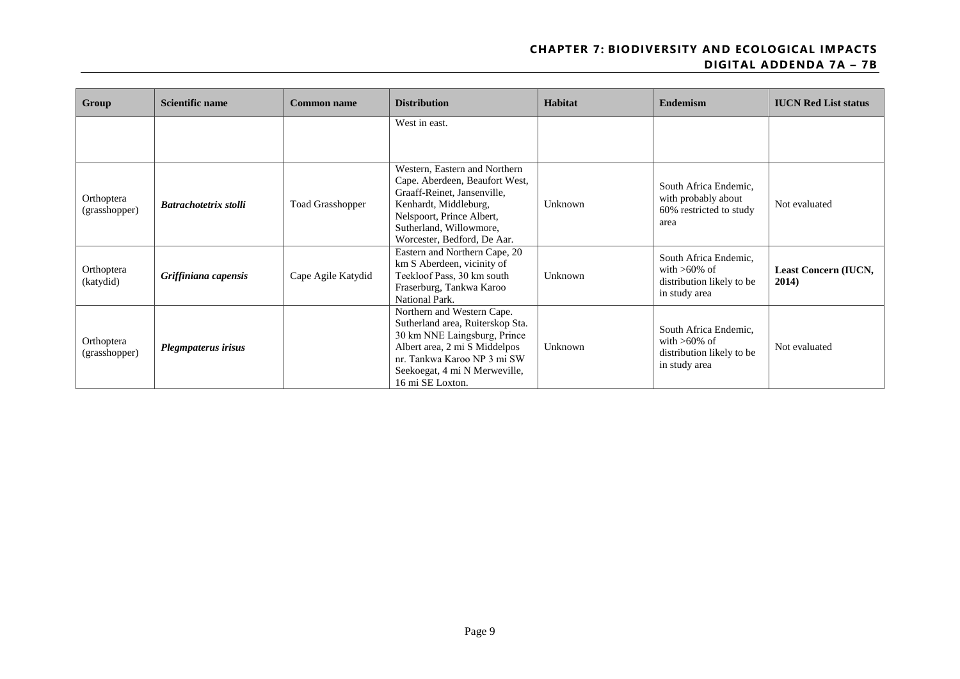| Group                       | <b>Scientific name</b> | <b>Common name</b>      | <b>Distribution</b>                                                                                                                                                                                                 | <b>Habitat</b> | <b>Endemism</b>                                                                        | <b>IUCN Red List status</b>   |
|-----------------------------|------------------------|-------------------------|---------------------------------------------------------------------------------------------------------------------------------------------------------------------------------------------------------------------|----------------|----------------------------------------------------------------------------------------|-------------------------------|
|                             |                        |                         | West in east.                                                                                                                                                                                                       |                |                                                                                        |                               |
| Orthoptera<br>(grasshopper) | Batrachotetrix stolli  | <b>Toad Grasshopper</b> | Western, Eastern and Northern<br>Cape. Aberdeen, Beaufort West,<br>Graaff-Reinet, Jansenville,<br>Kenhardt, Middleburg,<br>Nelspoort, Prince Albert,<br>Sutherland, Willowmore,<br>Worcester, Bedford, De Aar.      | Unknown        | South Africa Endemic.<br>with probably about<br>60% restricted to study<br>area        | Not evaluated                 |
| Orthoptera<br>(katydid)     | Griffiniana capensis   | Cape Agile Katydid      | Eastern and Northern Cape, 20<br>km S Aberdeen, vicinity of<br>Teekloof Pass, 30 km south<br>Fraserburg, Tankwa Karoo<br>National Park.                                                                             | Unknown        | South Africa Endemic,<br>with $>60\%$ of<br>distribution likely to be<br>in study area | Least Concern (IUCN,<br>2014) |
| Orthoptera<br>(grasshopper) | Plegmpaterus irisus    |                         | Northern and Western Cape.<br>Sutherland area, Ruiterskop Sta.<br>30 km NNE Laingsburg, Prince<br>Albert area, 2 mi S Middelpos<br>nr. Tankwa Karoo NP 3 mi SW<br>Seekoegat, 4 mi N Merweville,<br>16 mi SE Loxton. | Unknown        | South Africa Endemic,<br>with $>60\%$ of<br>distribution likely to be<br>in study area | Not evaluated                 |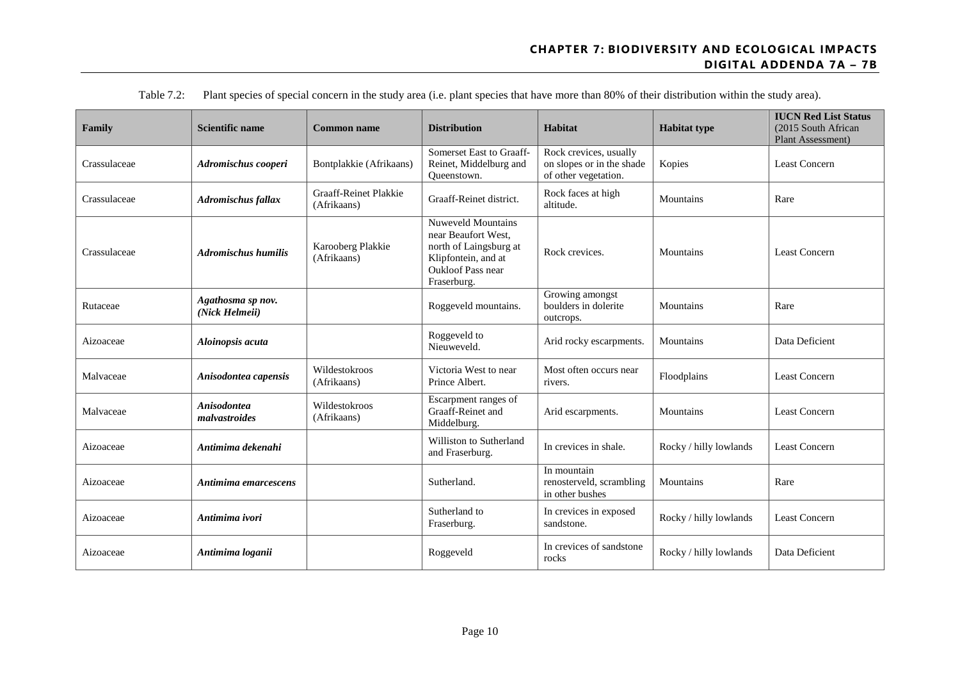| Family       | <b>Scientific name</b>              | <b>Common name</b>                          | <b>Distribution</b>                                                                                                                   | Habitat                                                                     | <b>Habitat type</b>    | <b>IUCN Red List Status</b><br>(2015 South African<br>Plant Assessment) |
|--------------|-------------------------------------|---------------------------------------------|---------------------------------------------------------------------------------------------------------------------------------------|-----------------------------------------------------------------------------|------------------------|-------------------------------------------------------------------------|
| Crassulaceae | Adromischus cooperi                 | Bontplakkie (Afrikaans)                     | Somerset East to Graaff-<br>Reinet, Middelburg and<br>Queenstown.                                                                     | Rock crevices, usually<br>on slopes or in the shade<br>of other vegetation. | Kopies                 | Least Concern                                                           |
| Crassulaceae | <b>Adromischus fallax</b>           | <b>Graaff-Reinet Plakkie</b><br>(Afrikaans) | Graaff-Reinet district.                                                                                                               | Rock faces at high<br>altitude.                                             | Mountains              | Rare                                                                    |
| Crassulaceae | <b>Adromischus humilis</b>          | Karooberg Plakkie<br>(Afrikaans)            | Nuweveld Mountains<br>near Beaufort West.<br>north of Laingsburg at<br>Klipfontein, and at<br><b>Oukloof Pass near</b><br>Fraserburg. | Rock crevices.                                                              | Mountains              | <b>Least Concern</b>                                                    |
| Rutaceae     | Agathosma sp nov.<br>(Nick Helmeii) |                                             | Roggeveld mountains.                                                                                                                  | Growing amongst<br>boulders in dolerite<br>outcrops.                        | Mountains              | Rare                                                                    |
| Aizoaceae    | Aloinopsis acuta                    |                                             | Roggeveld to<br>Nieuweveld.                                                                                                           | Arid rocky escarpments.                                                     | Mountains              | Data Deficient                                                          |
| Malvaceae    | Anisodontea capensis                | Wildestokroos<br>(Afrikaans)                | Victoria West to near<br>Prince Albert.                                                                                               | Most often occurs near<br>rivers.                                           | Floodplains            | <b>Least Concern</b>                                                    |
| Malvaceae    | <b>Anisodontea</b><br>malvastroides | Wildestokroos<br>(Afrikaans)                | Escarpment ranges of<br>Graaff-Reinet and<br>Middelburg.                                                                              | Arid escarpments.                                                           | Mountains              | <b>Least Concern</b>                                                    |
| Aizoaceae    | Antimima dekenahi                   |                                             | Williston to Sutherland<br>and Fraserburg.                                                                                            | In crevices in shale.                                                       | Rocky / hilly lowlands | Least Concern                                                           |
| Aizoaceae    | Antimima emarcescens                |                                             | Sutherland.                                                                                                                           | In mountain<br>renosterveld, scrambling<br>in other bushes                  | Mountains              | Rare                                                                    |
| Aizoaceae    | Antimima ivori                      |                                             | Sutherland to<br>Fraserburg.                                                                                                          | In crevices in exposed<br>sandstone.                                        | Rocky / hilly lowlands | <b>Least Concern</b>                                                    |
| Aizoaceae    | Antimima loganii                    |                                             | Roggeveld                                                                                                                             | In crevices of sandstone<br>rocks                                           | Rocky / hilly lowlands | Data Deficient                                                          |

Table 7.2: Plant species of special concern in the study area (i.e. plant species that have more than 80% of their distribution within the study area).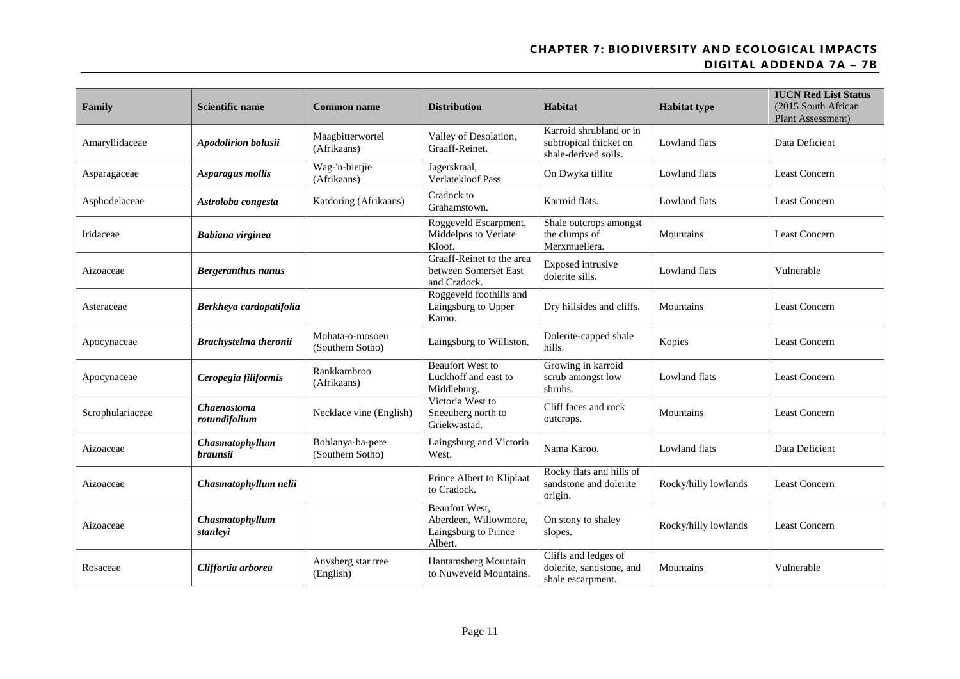| Family           | <b>Scientific name</b>              | <b>Common name</b>                   | <b>Distribution</b>                                                        | Habitat                                                                   | <b>Habitat type</b>  | <b>IUCN Red List Status</b><br>(2015 South African<br>Plant Assessment) |
|------------------|-------------------------------------|--------------------------------------|----------------------------------------------------------------------------|---------------------------------------------------------------------------|----------------------|-------------------------------------------------------------------------|
| Amaryllidaceae   | <b>Apodolirion bolusii</b>          | Maagbitterwortel<br>(Afrikaans)      | Valley of Desolation,<br>Graaff-Reinet.                                    | Karroid shrubland or in<br>subtropical thicket on<br>shale-derived soils. | Lowland flats        | Data Deficient                                                          |
| Asparagaceae     | Asparagus mollis                    | Wag-'n-bietjie<br>(Afrikaans)        | Jagerskraal,<br><b>Verlatekloof Pass</b>                                   | On Dwyka tillite                                                          | Lowland flats        | Least Concern                                                           |
| Asphodelaceae    | Astroloba congesta                  | Katdoring (Afrikaans)                | Cradock to<br>Grahamstown.                                                 | Karroid flats.                                                            | Lowland flats        | Least Concern                                                           |
| Iridaceae        | Babiana virginea                    |                                      | Roggeveld Escarpment,<br>Middelpos to Verlate<br>Kloof.                    | Shale outcrops amongst<br>the clumps of<br>Merxmuellera.                  | Mountains            | <b>Least Concern</b>                                                    |
| Aizoaceae        | <b>Bergeranthus nanus</b>           |                                      | Graaff-Reinet to the area<br>between Somerset East<br>and Cradock.         | Exposed intrusive<br>dolerite sills.                                      | Lowland flats        | Vulnerable                                                              |
| Asteraceae       | Berkheya cardopatifolia             |                                      | Roggeveld foothills and<br>Laingsburg to Upper<br>Karoo.                   | Dry hillsides and cliffs.                                                 | Mountains            | <b>Least Concern</b>                                                    |
| Apocynaceae      | Brachystelma theronii               | Mohata-o-mosoeu<br>(Southern Sotho)  | Laingsburg to Williston.                                                   | Dolerite-capped shale<br>hills.                                           | Kopies               | <b>Least Concern</b>                                                    |
| Apocynaceae      | Ceropegia filiformis                | Rankkambroo<br>(Afrikaans)           | <b>Beaufort West to</b><br>Luckhoff and east to<br>Middleburg.             | Growing in karroid<br>scrub amongst low<br>shrubs.                        | Lowland flats        | <b>Least Concern</b>                                                    |
| Scrophulariaceae | <b>Chaenostoma</b><br>rotundifolium | Necklace vine (English)              | Victoria West to<br>Sneeuberg north to<br>Griekwastad.                     | Cliff faces and rock<br>outcrops.                                         | Mountains            | Least Concern                                                           |
| Aizoaceae        | Chasmatophyllum<br><i>braunsii</i>  | Bohlanya-ba-pere<br>(Southern Sotho) | Laingsburg and Victoria<br>West.                                           | Nama Karoo.                                                               | Lowland flats        | Data Deficient                                                          |
| Aizoaceae        | Chasmatophyllum nelii               |                                      | Prince Albert to Kliplaat<br>to Cradock.                                   | Rocky flats and hills of<br>sandstone and dolerite<br>origin.             | Rocky/hilly lowlands | <b>Least Concern</b>                                                    |
| Aizoaceae        | Chasmatophyllum<br>stanleyi         |                                      | Beaufort West,<br>Aberdeen, Willowmore,<br>Laingsburg to Prince<br>Albert. | On stony to shaley<br>slopes.                                             | Rocky/hilly lowlands | <b>Least Concern</b>                                                    |
| Rosaceae         | Cliffortia arborea                  | Anysberg star tree<br>(English)      | Hantamsberg Mountain<br>to Nuweveld Mountains.                             | Cliffs and ledges of<br>dolerite, sandstone, and<br>shale escarpment.     | Mountains            | Vulnerable                                                              |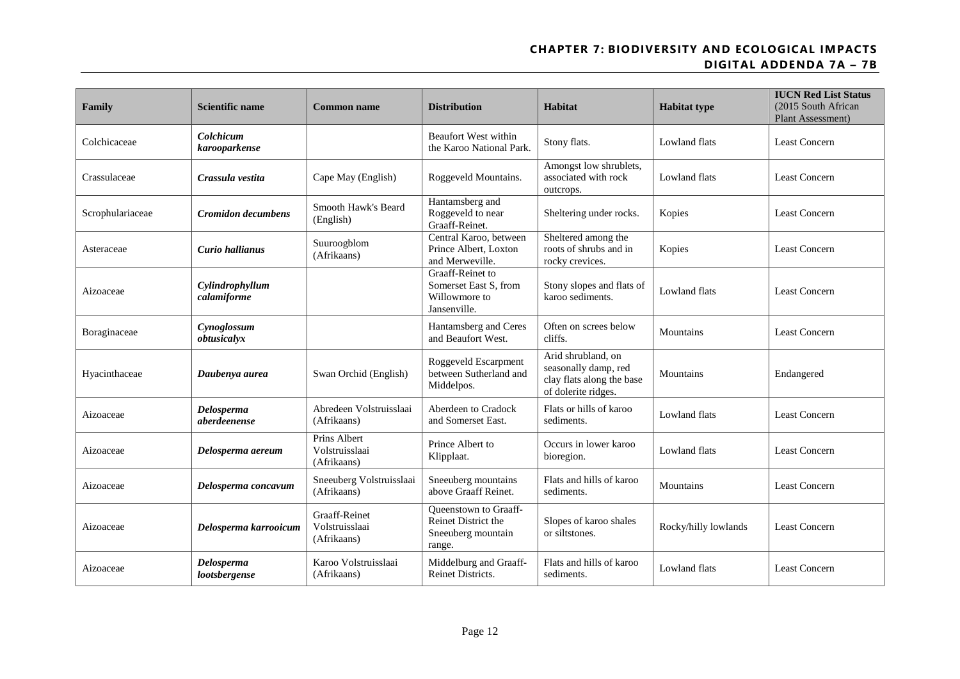| Family           | <b>Scientific name</b>         | <b>Common name</b>                                    | <b>Distribution</b>                                                          | Habitat                                                                                        | <b>Habitat type</b>  | <b>IUCN Red List Status</b><br>(2015 South African<br>Plant Assessment) |
|------------------|--------------------------------|-------------------------------------------------------|------------------------------------------------------------------------------|------------------------------------------------------------------------------------------------|----------------------|-------------------------------------------------------------------------|
| Colchicaceae     | Colchicum<br>karooparkense     |                                                       | <b>Beaufort West within</b><br>the Karoo National Park.                      | Stony flats.                                                                                   | Lowland flats        | <b>Least Concern</b>                                                    |
| Crassulaceae     | Crassula vestita               | Cape May (English)                                    | Roggeveld Mountains.                                                         | Amongst low shrublets,<br>associated with rock<br>outcrops.                                    | Lowland flats        | Least Concern                                                           |
| Scrophulariaceae | <b>Cromidon decumbens</b>      | Smooth Hawk's Beard<br>(English)                      | Hantamsberg and<br>Roggeveld to near<br>Graaff-Reinet.                       | Sheltering under rocks.                                                                        | Kopies               | <b>Least Concern</b>                                                    |
| Asteraceae       | Curio hallianus                | Suuroogblom<br>(Afrikaans)                            | Central Karoo, between<br>Prince Albert, Loxton<br>and Merweville.           | Sheltered among the<br>roots of shrubs and in<br>rocky crevices.                               | Kopies               | Least Concern                                                           |
| Aizoaceae        | Cylindrophyllum<br>calamiforme |                                                       | Graaff-Reinet to<br>Somerset East S. from<br>Willowmore to<br>Jansenville.   | Stony slopes and flats of<br>karoo sediments.                                                  | Lowland flats        | Least Concern                                                           |
| Boraginaceae     | Cynoglossum<br>obtusicalyx     |                                                       | Hantamsberg and Ceres<br>and Beaufort West.                                  | Often on screes below<br>cliffs.                                                               | Mountains            | <b>Least Concern</b>                                                    |
| Hyacinthaceae    | Daubenya aurea                 | Swan Orchid (English)                                 | Roggeveld Escarpment<br>between Sutherland and<br>Middelpos.                 | Arid shrubland, on<br>seasonally damp, red<br>clay flats along the base<br>of dolerite ridges. | Mountains            | Endangered                                                              |
| Aizoaceae        | Delosperma<br>aberdeenense     | Abredeen Volstruisslaai<br>(Afrikaans)                | Aberdeen to Cradock<br>and Somerset East.                                    | Flats or hills of karoo<br>sediments.                                                          | Lowland flats        | <b>Least Concern</b>                                                    |
| Aizoaceae        | Delosperma aereum              | Prins Albert<br>Volstruisslaai<br>(Afrikaans)         | Prince Albert to<br>Klipplaat.                                               | Occurs in lower karoo<br>bioregion.                                                            | Lowland flats        | <b>Least Concern</b>                                                    |
| Aizoaceae        | Delosperma concavum            | Sneeuberg Volstruisslaai<br>(Afrikaans)               | Sneeuberg mountains<br>above Graaff Reinet.                                  | Flats and hills of karoo<br>sediments.                                                         | Mountains            | Least Concern                                                           |
| Aizoaceae        | Delosperma karrooicum          | <b>Graaff-Reinet</b><br>Volstruisslaai<br>(Afrikaans) | Queenstown to Graaff-<br>Reinet District the<br>Sneeuberg mountain<br>range. | Slopes of karoo shales<br>or siltstones.                                                       | Rocky/hilly lowlands | Least Concern                                                           |
| Aizoaceae        | Delosperma<br>lootsbergense    | Karoo Volstruisslaai<br>(Afrikaans)                   | Middelburg and Graaff-<br><b>Reinet Districts.</b>                           | Flats and hills of karoo<br>sediments.                                                         | Lowland flats        | <b>Least Concern</b>                                                    |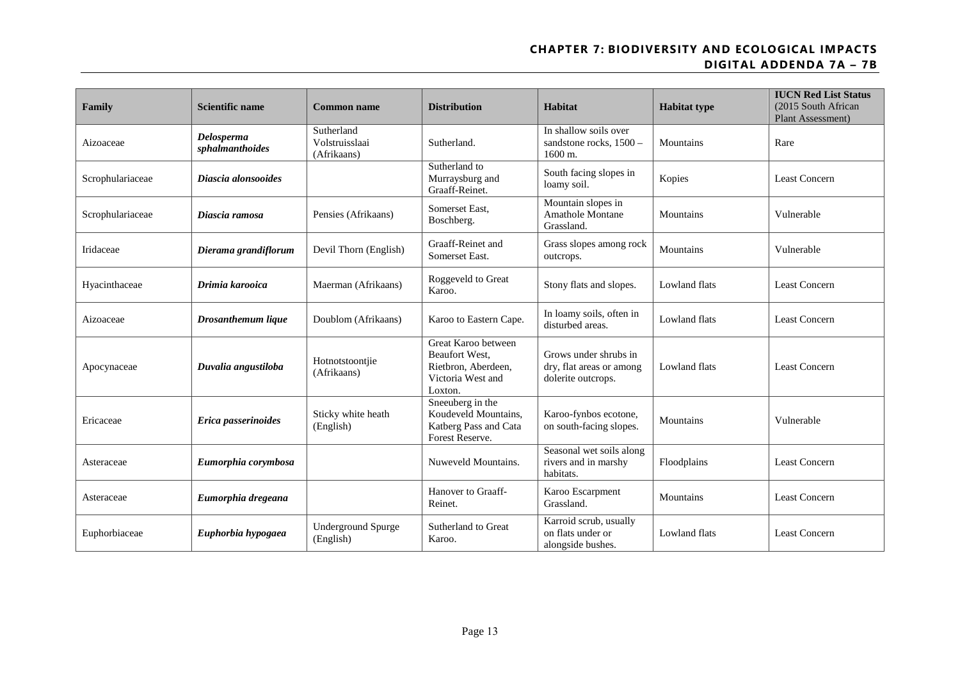| Family           | <b>Scientific name</b>        | Common name                                 | <b>Distribution</b>                                                                          | Habitat                                                                 | <b>Habitat type</b> | <b>IUCN Red List Status</b><br>(2015 South African<br>Plant Assessment) |
|------------------|-------------------------------|---------------------------------------------|----------------------------------------------------------------------------------------------|-------------------------------------------------------------------------|---------------------|-------------------------------------------------------------------------|
| Aizoaceae        | Delosperma<br>sphalmanthoides | Sutherland<br>Volstruisslaai<br>(Afrikaans) | Sutherland.                                                                                  | In shallow soils over<br>sandstone rocks, 1500 -<br>1600 m.             | Mountains           | Rare                                                                    |
| Scrophulariaceae | Diascia alonsooides           |                                             | Sutherland to<br>Murraysburg and<br>Graaff-Reinet.                                           | South facing slopes in<br>loamy soil.                                   | Kopies              | Least Concern                                                           |
| Scrophulariaceae | Diascia ramosa                | Pensies (Afrikaans)                         | Somerset East.<br>Boschberg.                                                                 | Mountain slopes in<br>Amathole Montane<br>Grassland.                    | Mountains           | Vulnerable                                                              |
| Iridaceae        | Dierama grandiflorum          | Devil Thorn (English)                       | Graaff-Reinet and<br>Somerset East.                                                          | Grass slopes among rock<br>outcrops.                                    | Mountains           | Vulnerable                                                              |
| Hyacinthaceae    | Drimia karooica               | Maerman (Afrikaans)                         | Roggeveld to Great<br>Karoo.                                                                 | Stony flats and slopes.                                                 | Lowland flats       | Least Concern                                                           |
| Aizoaceae        | Drosanthemum lique            | Doublom (Afrikaans)                         | Karoo to Eastern Cape.                                                                       | In loamy soils, often in<br>disturbed areas.                            | Lowland flats       | <b>Least Concern</b>                                                    |
| Apocynaceae      | Duvalia angustiloba           | Hotnotstoontjie<br>(Afrikaans)              | Great Karoo between<br>Beaufort West,<br>Rietbron, Aberdeen,<br>Victoria West and<br>Loxton. | Grows under shrubs in<br>dry, flat areas or among<br>dolerite outcrops. | Lowland flats       | <b>Least Concern</b>                                                    |
| Ericaceae        | Erica passerinoides           | Sticky white heath<br>(English)             | Sneeuberg in the<br>Koudeveld Mountains,<br>Katberg Pass and Cata<br>Forest Reserve.         | Karoo-fynbos ecotone,<br>on south-facing slopes.                        | Mountains           | Vulnerable                                                              |
| Asteraceae       | Eumorphia corymbosa           |                                             | Nuweveld Mountains.                                                                          | Seasonal wet soils along<br>rivers and in marshy<br>habitats.           | Floodplains         | <b>Least Concern</b>                                                    |
| Asteraceae       | Eumorphia dregeana            |                                             | Hanover to Graaff-<br>Reinet.                                                                | Karoo Escarpment<br>Grassland.                                          | Mountains           | <b>Least Concern</b>                                                    |
| Euphorbiaceae    | Euphorbia hypogaea            | <b>Underground Spurge</b><br>(English)      | Sutherland to Great<br>Karoo.                                                                | Karroid scrub, usually<br>on flats under or<br>alongside bushes.        | Lowland flats       | Least Concern                                                           |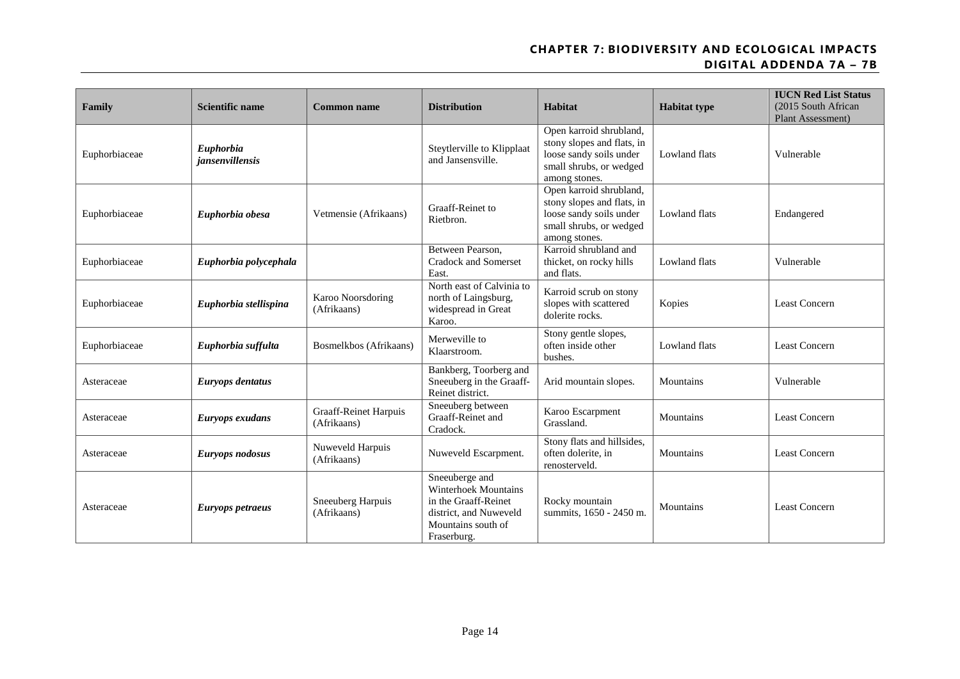| Family        | <b>Scientific name</b>              | <b>Common name</b>                          | <b>Distribution</b>                                                                                                                  | Habitat                                                                                                                      | <b>Habitat type</b>  | <b>IUCN Red List Status</b><br>(2015 South African<br>Plant Assessment) |
|---------------|-------------------------------------|---------------------------------------------|--------------------------------------------------------------------------------------------------------------------------------------|------------------------------------------------------------------------------------------------------------------------------|----------------------|-------------------------------------------------------------------------|
| Euphorbiaceae | Euphorbia<br><i>iansenvillensis</i> |                                             | Steytlerville to Klipplaat<br>and Jansensville.                                                                                      | Open karroid shrubland,<br>stony slopes and flats, in<br>loose sandy soils under<br>small shrubs, or wedged<br>among stones. | <b>Lowland</b> flats | Vulnerable                                                              |
| Euphorbiaceae | Euphorbia obesa                     | Vetmensie (Afrikaans)                       | Graaff-Reinet to<br>Rietbron.                                                                                                        | Open karroid shrubland,<br>stony slopes and flats, in<br>loose sandy soils under<br>small shrubs, or wedged<br>among stones. | <b>Lowland flats</b> | Endangered                                                              |
| Euphorbiaceae | Euphorbia polycephala               |                                             | Between Pearson.<br><b>Cradock and Somerset</b><br>East.                                                                             | Karroid shrubland and<br>thicket, on rocky hills<br>and flats.                                                               | Lowland flats        | Vulnerable                                                              |
| Euphorbiaceae | Euphorbia stellispina               | Karoo Noorsdoring<br>(Afrikaans)            | North east of Calvinia to<br>north of Laingsburg,<br>widespread in Great<br>Karoo.                                                   | Karroid scrub on stony<br>slopes with scattered<br>dolerite rocks.                                                           | Kopies               | Least Concern                                                           |
| Euphorbiaceae | Euphorbia suffulta                  | Bosmelkbos (Afrikaans)                      | Merweville to<br>Klaarstroom.                                                                                                        | Stony gentle slopes,<br>often inside other<br>bushes.                                                                        | <b>Lowland</b> flats | <b>Least Concern</b>                                                    |
| Asteraceae    | Euryops dentatus                    |                                             | Bankberg, Toorberg and<br>Sneeuberg in the Graaff-<br>Reinet district.                                                               | Arid mountain slopes.                                                                                                        | Mountains            | Vulnerable                                                              |
| Asteraceae    | Euryops exudans                     | <b>Graaff-Reinet Harpuis</b><br>(Afrikaans) | Sneeuberg between<br>Graaff-Reinet and<br>Cradock.                                                                                   | Karoo Escarpment<br>Grassland.                                                                                               | Mountains            | <b>Least Concern</b>                                                    |
| Asteraceae    | Euryops nodosus                     | Nuweveld Harpuis<br>(Afrikaans)             | Nuweveld Escarpment.                                                                                                                 | Stony flats and hillsides,<br>often dolerite, in<br>renosterveld.                                                            | Mountains            | <b>Least Concern</b>                                                    |
| Asteraceae    | Euryops petraeus                    | Sneeuberg Harpuis<br>(Afrikaans)            | Sneeuberge and<br><b>Winterhoek Mountains</b><br>in the Graaff-Reinet<br>district, and Nuweveld<br>Mountains south of<br>Fraserburg. | Rocky mountain<br>summits, 1650 - 2450 m.                                                                                    | Mountains            | <b>Least Concern</b>                                                    |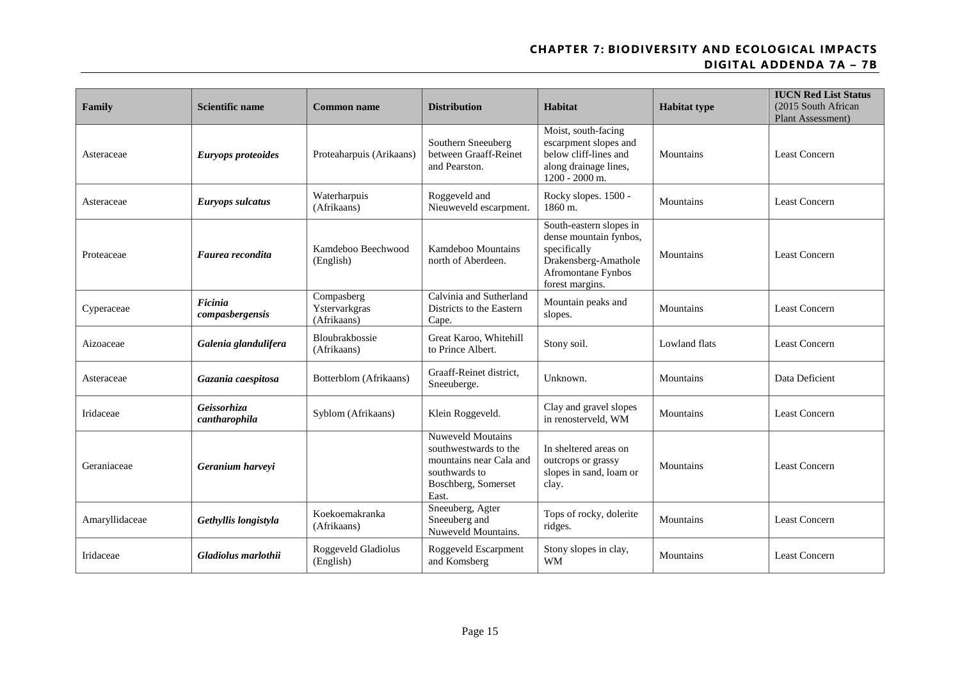| Family         | Scientific name              | <b>Common name</b>                         | <b>Distribution</b>                                                                                                           | Habitat                                                                                                                            | <b>Habitat type</b> | <b>IUCN Red List Status</b><br>(2015 South African<br>Plant Assessment) |
|----------------|------------------------------|--------------------------------------------|-------------------------------------------------------------------------------------------------------------------------------|------------------------------------------------------------------------------------------------------------------------------------|---------------------|-------------------------------------------------------------------------|
| Asteraceae     | Euryops proteoides           | Proteaharpuis (Arikaans)                   | Southern Sneeuberg<br>between Graaff-Reinet<br>and Pearston.                                                                  | Moist, south-facing<br>escarpment slopes and<br>below cliff-lines and<br>along drainage lines,<br>1200 - 2000 m.                   | Mountains           | <b>Least Concern</b>                                                    |
| Asteraceae     | Euryops sulcatus             | Waterharpuis<br>(Afrikaans)                | Roggeveld and<br>Nieuweveld escarpment.                                                                                       | Rocky slopes. 1500 -<br>1860 m.                                                                                                    | Mountains           | <b>Least Concern</b>                                                    |
| Proteaceae     | Faurea recondita             | Kamdeboo Beechwood<br>(English)            | Kamdeboo Mountains<br>north of Aberdeen.                                                                                      | South-eastern slopes in<br>dense mountain fynbos,<br>specifically<br>Drakensberg-Amathole<br>Afromontane Fynbos<br>forest margins. | Mountains           | Least Concern                                                           |
| Cyperaceae     | Ficinia<br>compasbergensis   | Compasberg<br>Ystervarkgras<br>(Afrikaans) | Calvinia and Sutherland<br>Districts to the Eastern<br>Cape.                                                                  | Mountain peaks and<br>slopes.                                                                                                      | Mountains           | <b>Least Concern</b>                                                    |
| Aizoaceae      | Galenia glandulifera         | Bloubrakbossie<br>(Afrikaans)              | Great Karoo, Whitehill<br>to Prince Albert.                                                                                   | Stony soil.                                                                                                                        | Lowland flats       | <b>Least Concern</b>                                                    |
| Asteraceae     | Gazania caespitosa           | Botterblom (Afrikaans)                     | Graaff-Reinet district,<br>Sneeuberge.                                                                                        | Unknown.                                                                                                                           | Mountains           | Data Deficient                                                          |
| Iridaceae      | Geissorhiza<br>cantharophila | Syblom (Afrikaans)                         | Klein Roggeveld.                                                                                                              | Clay and gravel slopes<br>in renosterveld, WM                                                                                      | Mountains           | <b>Least Concern</b>                                                    |
| Geraniaceae    | Geranium harveyi             |                                            | <b>Nuweveld Moutains</b><br>southwestwards to the<br>mountains near Cala and<br>southwards to<br>Boschberg, Somerset<br>East. | In sheltered areas on<br>outcrops or grassy<br>slopes in sand, loam or<br>clay.                                                    | Mountains           | Least Concern                                                           |
| Amaryllidaceae | Gethyllis longistyla         | Koekoemakranka<br>(Afrikaans)              | Sneeuberg, Agter<br>Sneeuberg and<br>Nuweveld Mountains.                                                                      | Tops of rocky, dolerite<br>ridges.                                                                                                 | Mountains           | <b>Least Concern</b>                                                    |
| Iridaceae      | Gladiolus marlothii          | Roggeveld Gladiolus<br>(English)           | Roggeveld Escarpment<br>and Komsberg                                                                                          | Stony slopes in clay,<br><b>WM</b>                                                                                                 | Mountains           | <b>Least Concern</b>                                                    |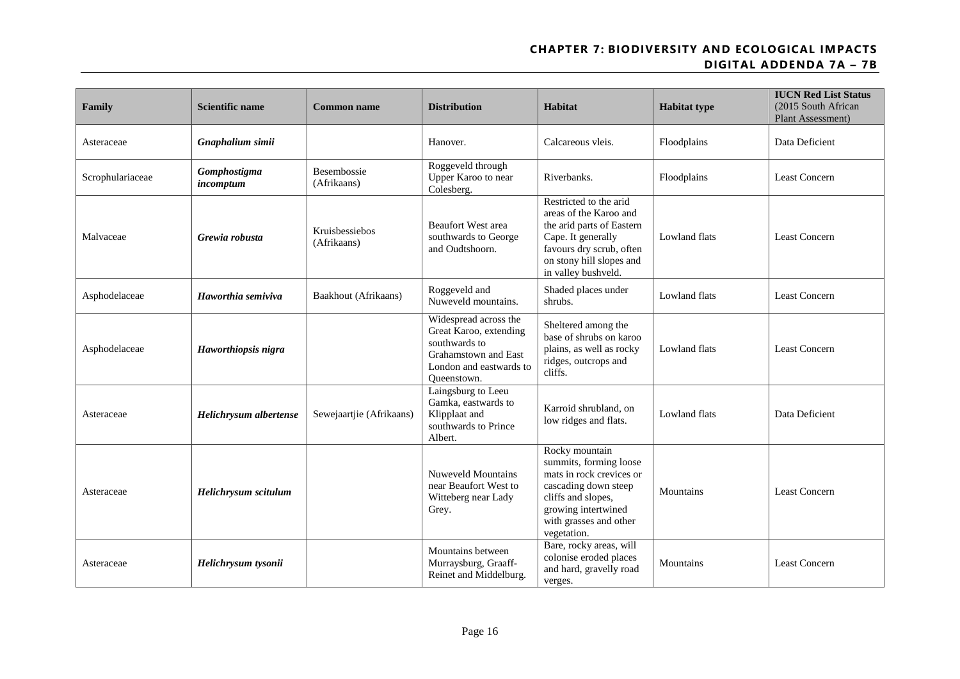| Family           | <b>Scientific name</b>    | <b>Common name</b>                | <b>Distribution</b>                                                                                                                | Habitat                                                                                                                                                                            | <b>Habitat type</b> | <b>IUCN Red List Status</b><br>(2015 South African<br>Plant Assessment) |
|------------------|---------------------------|-----------------------------------|------------------------------------------------------------------------------------------------------------------------------------|------------------------------------------------------------------------------------------------------------------------------------------------------------------------------------|---------------------|-------------------------------------------------------------------------|
| Asteraceae       | Gnaphalium simii          |                                   | Hanover.                                                                                                                           | Calcareous vleis.                                                                                                                                                                  | Floodplains         | Data Deficient                                                          |
| Scrophulariaceae | Gomphostigma<br>incomptum | <b>Besembossie</b><br>(Afrikaans) | Roggeveld through<br>Upper Karoo to near<br>Colesberg.                                                                             | Riverbanks.                                                                                                                                                                        | Floodplains         | <b>Least Concern</b>                                                    |
| Malvaceae        | Grewia robusta            | Kruisbessiebos<br>(Afrikaans)     | <b>Beaufort West area</b><br>southwards to George<br>and Oudtshoorn.                                                               | Restricted to the arid<br>areas of the Karoo and<br>the arid parts of Eastern<br>Cape. It generally<br>favours dry scrub, often<br>on stony hill slopes and<br>in valley bushveld. | Lowland flats       | <b>Least Concern</b>                                                    |
| Asphodelaceae    | Haworthia semiviva        | Baakhout (Afrikaans)              | Roggeveld and<br>Nuweveld mountains.                                                                                               | Shaded places under<br>shrubs.                                                                                                                                                     | Lowland flats       | Least Concern                                                           |
| Asphodelaceae    | Haworthiopsis nigra       |                                   | Widespread across the<br>Great Karoo, extending<br>southwards to<br>Grahamstown and East<br>London and eastwards to<br>Queenstown. | Sheltered among the<br>base of shrubs on karoo<br>plains, as well as rocky<br>ridges, outcrops and<br>cliffs.                                                                      | Lowland flats       | <b>Least Concern</b>                                                    |
| Asteraceae       | Helichrysum albertense    | Sewejaartjie (Afrikaans)          | Laingsburg to Leeu<br>Gamka, eastwards to<br>Klipplaat and<br>southwards to Prince<br>Albert.                                      | Karroid shrubland, on<br>low ridges and flats.                                                                                                                                     | Lowland flats       | Data Deficient                                                          |
| Asteraceae       | Helichrysum scitulum      |                                   | Nuweveld Mountains<br>near Beaufort West to<br>Witteberg near Lady<br>Grey.                                                        | Rocky mountain<br>summits, forming loose<br>mats in rock crevices or<br>cascading down steep<br>cliffs and slopes,<br>growing intertwined<br>with grasses and other<br>vegetation. | Mountains           | Least Concern                                                           |
| Asteraceae       | Helichrysum tysonii       |                                   | Mountains between<br>Murraysburg, Graaff-<br>Reinet and Middelburg.                                                                | Bare, rocky areas, will<br>colonise eroded places<br>and hard, gravelly road<br>verges.                                                                                            | Mountains           | <b>Least Concern</b>                                                    |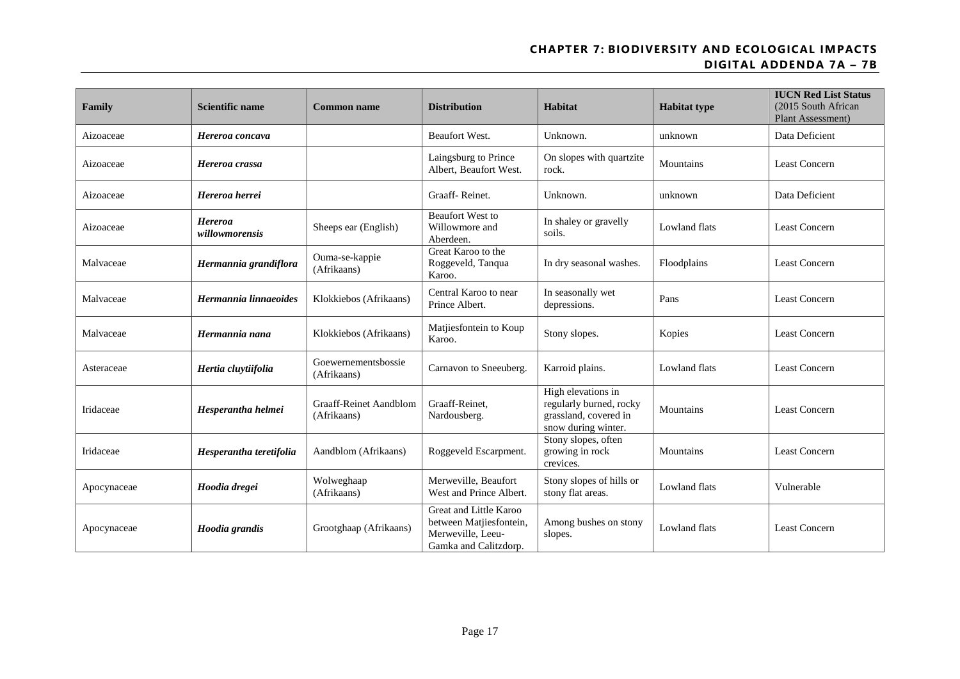| Family      | <b>Scientific name</b>    | <b>Common name</b>                           | <b>Distribution</b>                                                                             | Habitat                                                                                       | <b>Habitat type</b>  | <b>IUCN Red List Status</b><br>(2015 South African<br>Plant Assessment) |
|-------------|---------------------------|----------------------------------------------|-------------------------------------------------------------------------------------------------|-----------------------------------------------------------------------------------------------|----------------------|-------------------------------------------------------------------------|
| Aizoaceae   | Hereroa concava           |                                              | Beaufort West.                                                                                  | Unknown.                                                                                      | unknown              | Data Deficient                                                          |
| Aizoaceae   | Hereroa crassa            |                                              | Laingsburg to Prince<br>Albert, Beaufort West.                                                  | On slopes with quartzite<br>rock.                                                             | Mountains            | <b>Least Concern</b>                                                    |
| Aizoaceae   | Hereroa herrei            |                                              | Graaff-Reinet.                                                                                  | Unknown.                                                                                      | unknown              | Data Deficient                                                          |
| Aizoaceae   | Hereroa<br>willowmorensis | Sheeps ear (English)                         | <b>Beaufort West to</b><br>Willowmore and<br>Aberdeen.                                          | In shaley or gravelly<br>soils.                                                               | Lowland flats        | <b>Least Concern</b>                                                    |
| Malvaceae   | Hermannia grandiflora     | Ouma-se-kappie<br>(Afrikaans)                | Great Karoo to the<br>Roggeveld, Tanqua<br>Karoo.                                               | In dry seasonal washes.                                                                       | Floodplains          | <b>Least Concern</b>                                                    |
| Malvaceae   | Hermannia linnaeoides     | Klokkiebos (Afrikaans)                       | Central Karoo to near<br>Prince Albert.                                                         | In seasonally wet<br>depressions.                                                             | Pans                 | <b>Least Concern</b>                                                    |
| Malvaceae   | Hermannia nana            | Klokkiebos (Afrikaans)                       | Matjiesfontein to Koup<br>Karoo.                                                                | Stony slopes.                                                                                 | Kopies               | <b>Least Concern</b>                                                    |
| Asteraceae  | Hertia cluytiifolia       | Goewernementsbossie<br>(Afrikaans)           | Carnavon to Sneeuberg.                                                                          | Karroid plains.                                                                               | Lowland flats        | <b>Least Concern</b>                                                    |
| Iridaceae   | Hesperantha helmei        | <b>Graaff-Reinet Aandblom</b><br>(Afrikaans) | Graaff-Reinet.<br>Nardousberg.                                                                  | High elevations in<br>regularly burned, rocky<br>grassland, covered in<br>snow during winter. | Mountains            | Least Concern                                                           |
| Iridaceae   | Hesperantha teretifolia   | Aandblom (Afrikaans)                         | Roggeveld Escarpment.                                                                           | Stony slopes, often<br>growing in rock<br>crevices.                                           | Mountains            | <b>Least Concern</b>                                                    |
| Apocynaceae | Hoodia dregei             | Wolweghaap<br>(Afrikaans)                    | Merweville, Beaufort<br>West and Prince Albert.                                                 | Stony slopes of hills or<br>stony flat areas.                                                 | <b>Lowland flats</b> | Vulnerable                                                              |
| Apocynaceae | Hoodia grandis            | Grootghaap (Afrikaans)                       | Great and Little Karoo<br>between Matjiesfontein,<br>Merweville, Leeu-<br>Gamka and Calitzdorp. | Among bushes on stony<br>slopes.                                                              | Lowland flats        | <b>Least Concern</b>                                                    |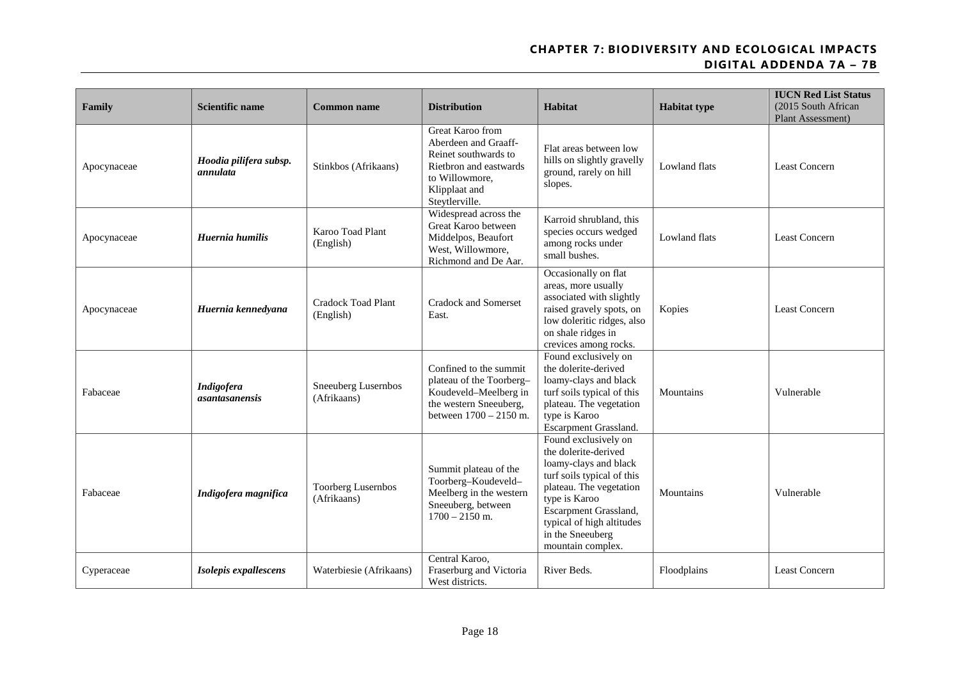| Family      | <b>Scientific name</b>                     | <b>Common name</b>                     | <b>Distribution</b>                                                                                                                             | Habitat                                                                                                                                                                                                                                        | <b>Habitat type</b> | <b>IUCN Red List Status</b><br>(2015 South African<br>Plant Assessment) |
|-------------|--------------------------------------------|----------------------------------------|-------------------------------------------------------------------------------------------------------------------------------------------------|------------------------------------------------------------------------------------------------------------------------------------------------------------------------------------------------------------------------------------------------|---------------------|-------------------------------------------------------------------------|
| Apocynaceae | Hoodia pilifera subsp.<br>annulata         | Stinkbos (Afrikaans)                   | Great Karoo from<br>Aberdeen and Graaff-<br>Reinet southwards to<br>Rietbron and eastwards<br>to Willowmore,<br>Klipplaat and<br>Steytlerville. | Flat areas between low<br>hills on slightly gravelly<br>ground, rarely on hill<br>slopes.                                                                                                                                                      | Lowland flats       | <b>Least Concern</b>                                                    |
| Apocynaceae | Huernia humilis                            | Karoo Toad Plant<br>(English)          | Widespread across the<br>Great Karoo between<br>Middelpos, Beaufort<br>West, Willowmore,<br>Richmond and De Aar.                                | Karroid shrubland, this<br>species occurs wedged<br>among rocks under<br>small bushes.                                                                                                                                                         | Lowland flats       | <b>Least Concern</b>                                                    |
| Apocynaceae | Huernia kennedyana                         | <b>Cradock Toad Plant</b><br>(English) | Cradock and Somerset<br>East.                                                                                                                   | Occasionally on flat<br>areas, more usually<br>associated with slightly<br>raised gravely spots, on<br>low doleritic ridges, also<br>on shale ridges in<br>crevices among rocks.                                                               | Kopies              | <b>Least Concern</b>                                                    |
| Fabaceae    | <b>Indigofera</b><br><i>asantasanensis</i> | Sneeuberg Lusernbos<br>(Afrikaans)     | Confined to the summit<br>plateau of the Toorberg-<br>Koudeveld-Meelberg in<br>the western Sneeuberg,<br>between 1700 - 2150 m.                 | Found exclusively on<br>the dolerite-derived<br>loamy-clays and black<br>turf soils typical of this<br>plateau. The vegetation<br>type is Karoo<br>Escarpment Grassland.                                                                       | Mountains           | Vulnerable                                                              |
| Fabaceae    | Indigofera magnifica                       | Toorberg Lusernbos<br>(Afrikaans)      | Summit plateau of the<br>Toorberg-Koudeveld-<br>Meelberg in the western<br>Sneeuberg, between<br>$1700 - 2150$ m.                               | Found exclusively on<br>the dolerite-derived<br>loamy-clays and black<br>turf soils typical of this<br>plateau. The vegetation<br>type is Karoo<br>Escarpment Grassland,<br>typical of high altitudes<br>in the Sneeuberg<br>mountain complex. | <b>Mountains</b>    | Vulnerable                                                              |
| Cyperaceae  | Isolepis expallescens                      | Waterbiesie (Afrikaans)                | Central Karoo,<br>Fraserburg and Victoria<br>West districts.                                                                                    | River Beds.                                                                                                                                                                                                                                    | Floodplains         | Least Concern                                                           |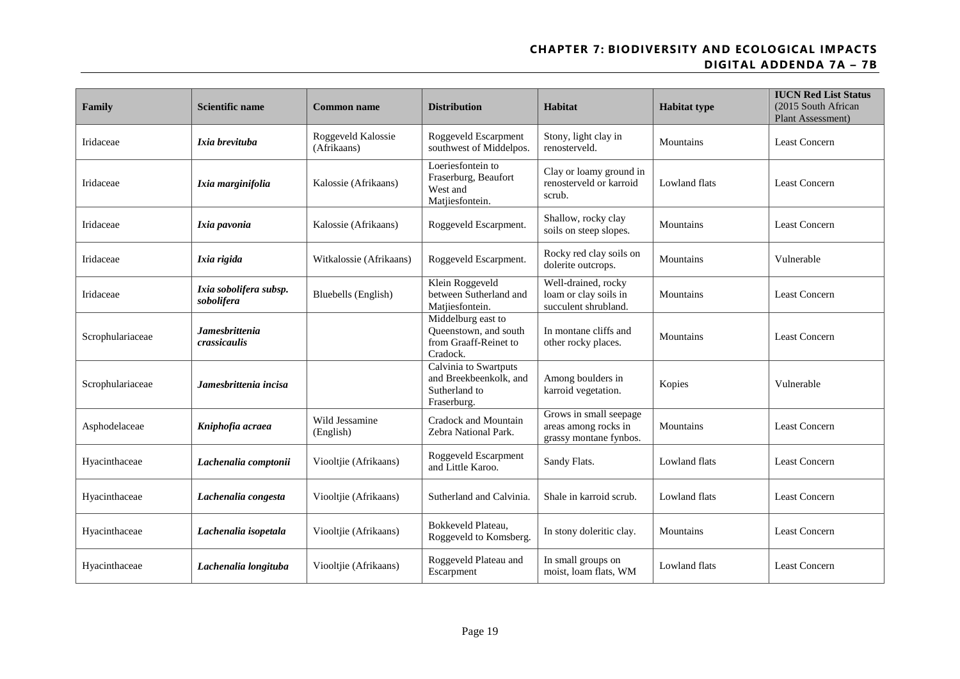| Family           | <b>Scientific name</b>                | <b>Common name</b>                | <b>Distribution</b>                                                              | Habitat                                                                  | <b>Habitat type</b> | <b>IUCN Red List Status</b><br>(2015 South African<br>Plant Assessment) |
|------------------|---------------------------------------|-----------------------------------|----------------------------------------------------------------------------------|--------------------------------------------------------------------------|---------------------|-------------------------------------------------------------------------|
| Iridaceae        | Ixia brevituba                        | Roggeveld Kalossie<br>(Afrikaans) | Roggeveld Escarpment<br>southwest of Middelpos.                                  | Stony, light clay in<br>renosterveld.                                    | Mountains           | <b>Least Concern</b>                                                    |
| Iridaceae        | Ixia marginifolia                     | Kalossie (Afrikaans)              | Loeriesfontein to<br>Fraserburg, Beaufort<br>West and<br>Matjiesfontein.         | Clay or loamy ground in<br>renosterveld or karroid<br>scrub.             | Lowland flats       | Least Concern                                                           |
| Iridaceae        | Ixia pavonia                          | Kalossie (Afrikaans)              | Roggeveld Escarpment.                                                            | Shallow, rocky clay<br>soils on steep slopes.                            | Mountains           | <b>Least Concern</b>                                                    |
| Iridaceae        | Ixia rigida                           | Witkalossie (Afrikaans)           | Roggeveld Escarpment.                                                            | Rocky red clay soils on<br>dolerite outcrops.                            | Mountains           | Vulnerable                                                              |
| Iridaceae        | Ixia sobolifera subsp.<br>sobolifera  | Bluebells (English)               | Klein Roggeveld<br>between Sutherland and<br>Matjiesfontein.                     | Well-drained, rocky<br>loam or clay soils in<br>succulent shrubland.     | Mountains           | <b>Least Concern</b>                                                    |
| Scrophulariaceae | <b>Jamesbrittenia</b><br>crassicaulis |                                   | Middelburg east to<br>Queenstown, and south<br>from Graaff-Reinet to<br>Cradock. | In montane cliffs and<br>other rocky places.                             | Mountains           | <b>Least Concern</b>                                                    |
| Scrophulariaceae | Jamesbrittenia incisa                 |                                   | Calvinia to Swartputs<br>and Breekbeenkolk, and<br>Sutherland to<br>Fraserburg.  | Among boulders in<br>karroid vegetation.                                 | Kopies              | Vulnerable                                                              |
| Asphodelaceae    | Kniphofia acraea                      | Wild Jessamine<br>(English)       | Cradock and Mountain<br>Zebra National Park.                                     | Grows in small seepage<br>areas among rocks in<br>grassy montane fynbos. | Mountains           | <b>Least Concern</b>                                                    |
| Hyacinthaceae    | Lachenalia comptonii                  | Viooltjie (Afrikaans)             | Roggeveld Escarpment<br>and Little Karoo.                                        | Sandy Flats.                                                             | Lowland flats       | Least Concern                                                           |
| Hyacinthaceae    | Lachenalia congesta                   | Viooltjie (Afrikaans)             | Sutherland and Calvinia.                                                         | Shale in karroid scrub.                                                  | Lowland flats       | <b>Least Concern</b>                                                    |
| Hyacinthaceae    | Lachenalia isopetala                  | Viooltjie (Afrikaans)             | Bokkeveld Plateau.<br>Roggeveld to Komsberg.                                     | In stony doleritic clay.                                                 | Mountains           | Least Concern                                                           |
| Hyacinthaceae    | Lachenalia longituba                  | Viooltjie (Afrikaans)             | Roggeveld Plateau and<br>Escarpment                                              | In small groups on<br>moist, loam flats, WM                              | Lowland flats       | <b>Least Concern</b>                                                    |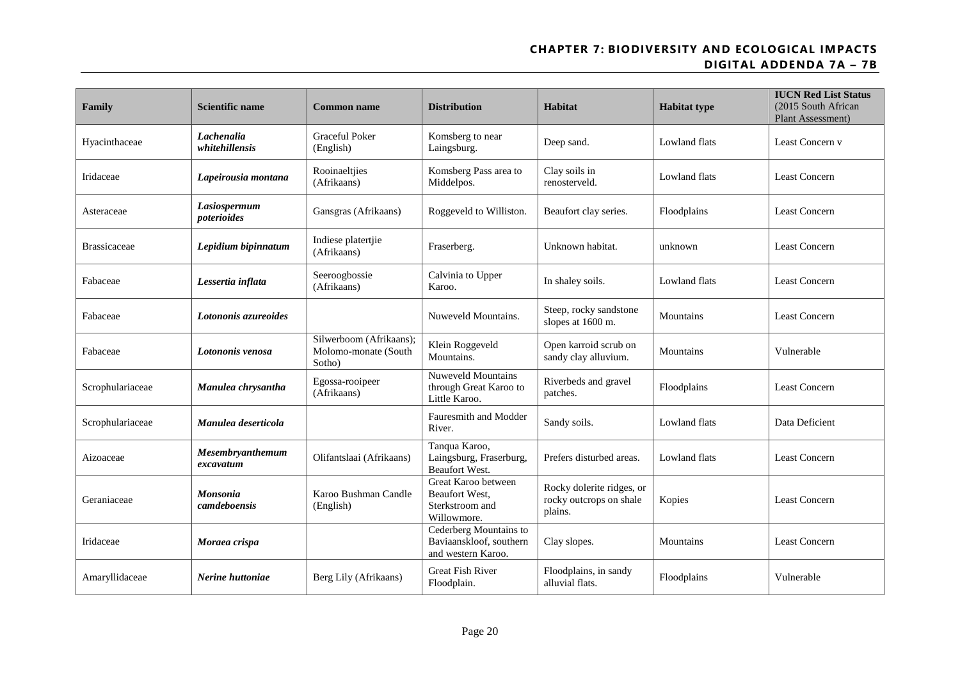| Family              | <b>Scientific name</b>        | <b>Common name</b>                                        | <b>Distribution</b>                                                     | Habitat                                                         | <b>Habitat type</b> | <b>IUCN Red List Status</b><br>(2015 South African<br>Plant Assessment) |
|---------------------|-------------------------------|-----------------------------------------------------------|-------------------------------------------------------------------------|-----------------------------------------------------------------|---------------------|-------------------------------------------------------------------------|
| Hyacinthaceae       | Lachenalia<br>whitehillensis  | Graceful Poker<br>(English)                               | Komsberg to near<br>Laingsburg.                                         | Deep sand.                                                      | Lowland flats       | Least Concern v                                                         |
| Iridaceae           | Lapeirousia montana           | Rooinaeltjies<br>(Afrikaans)                              | Komsberg Pass area to<br>Middelpos.                                     | Clay soils in<br>renosterveld.                                  | Lowland flats       | Least Concern                                                           |
| Asteraceae          | Lasiospermum<br>poterioides   | Gansgras (Afrikaans)                                      | Roggeveld to Williston.                                                 | Beaufort clay series.                                           | Floodplains         | <b>Least Concern</b>                                                    |
| <b>Brassicaceae</b> | Lepidium bipinnatum           | Indiese platertjie<br>(Afrikaans)                         | Fraserberg.                                                             | Unknown habitat.                                                | unknown             | Least Concern                                                           |
| Fabaceae            | Lessertia inflata             | Seeroogbossie<br>(Afrikaans)                              | Calvinia to Upper<br>Karoo.                                             | In shaley soils.                                                | Lowland flats       | <b>Least Concern</b>                                                    |
| Fabaceae            | Lotononis azureoides          |                                                           | Nuweveld Mountains.                                                     | Steep, rocky sandstone<br>slopes at 1600 m.                     | Mountains           | <b>Least Concern</b>                                                    |
| Fabaceae            | Lotononis venosa              | Silwerboom (Afrikaans);<br>Molomo-monate (South<br>Sotho) | Klein Roggeveld<br>Mountains.                                           | Open karroid scrub on<br>sandy clay alluvium.                   | Mountains           | Vulnerable                                                              |
| Scrophulariaceae    | Manulea chrysantha            | Egossa-rooipeer<br>(Afrikaans)                            | <b>Nuweveld Mountains</b><br>through Great Karoo to<br>Little Karoo.    | Riverbeds and gravel<br>patches.                                | Floodplains         | <b>Least Concern</b>                                                    |
| Scrophulariaceae    | Manulea deserticola           |                                                           | Fauresmith and Modder<br>River.                                         | Sandy soils.                                                    | Lowland flats       | Data Deficient                                                          |
| Aizoaceae           | Mesembryanthemum<br>excavatum | Olifantslaai (Afrikaans)                                  | Tanqua Karoo,<br>Laingsburg, Fraserburg,<br><b>Beaufort West.</b>       | Prefers disturbed areas.                                        | Lowland flats       | <b>Least Concern</b>                                                    |
| Geraniaceae         | Monsonia<br>camdeboensis      | Karoo Bushman Candle<br>(English)                         | Great Karoo between<br>Beaufort West,<br>Sterkstroom and<br>Willowmore. | Rocky dolerite ridges, or<br>rocky outcrops on shale<br>plains. | Kopies              | <b>Least Concern</b>                                                    |
| Iridaceae           | Moraea crispa                 |                                                           | Cederberg Mountains to<br>Baviaanskloof, southern<br>and western Karoo. | Clay slopes.                                                    | Mountains           | <b>Least Concern</b>                                                    |
| Amaryllidaceae      | Nerine huttoniae              | Berg Lily (Afrikaans)                                     | <b>Great Fish River</b><br>Floodplain.                                  | Floodplains, in sandy<br>alluvial flats.                        | Floodplains         | Vulnerable                                                              |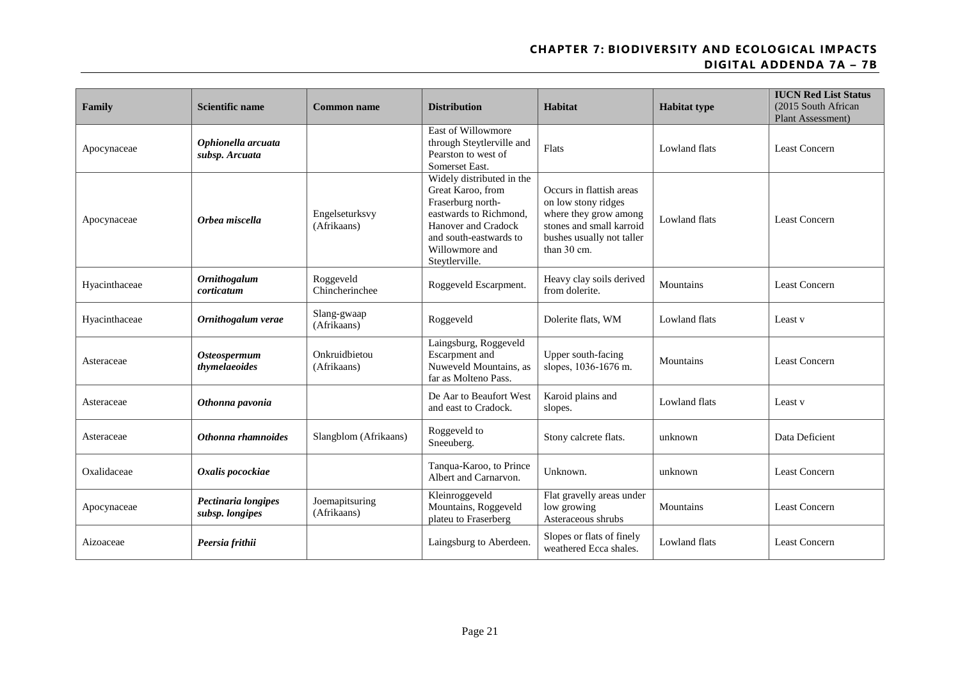| Family        | <b>Scientific name</b>                 | <b>Common name</b>            | <b>Distribution</b>                                                                                                                                                                | Habitat                                                                                                                                          | <b>Habitat type</b>  | <b>IUCN Red List Status</b><br>(2015 South African<br>Plant Assessment) |
|---------------|----------------------------------------|-------------------------------|------------------------------------------------------------------------------------------------------------------------------------------------------------------------------------|--------------------------------------------------------------------------------------------------------------------------------------------------|----------------------|-------------------------------------------------------------------------|
| Apocynaceae   | Ophionella arcuata<br>subsp. Arcuata   |                               | East of Willowmore<br>through Steytlerville and<br>Pearston to west of<br>Somerset East.                                                                                           | Flats                                                                                                                                            | Lowland flats        | <b>Least Concern</b>                                                    |
| Apocynaceae   | Orbea miscella                         | Engelseturksvy<br>(Afrikaans) | Widely distributed in the<br>Great Karoo, from<br>Fraserburg north-<br>eastwards to Richmond,<br>Hanover and Cradock<br>and south-eastwards to<br>Willowmore and<br>Steytlerville. | Occurs in flattish areas<br>on low stony ridges<br>where they grow among<br>stones and small karroid<br>bushes usually not taller<br>than 30 cm. | Lowland flats        | <b>Least Concern</b>                                                    |
| Hyacinthaceae | <b>Ornithogalum</b><br>corticatum      | Roggeveld<br>Chincherinchee   | Roggeveld Escarpment.                                                                                                                                                              | Heavy clay soils derived<br>from dolerite.                                                                                                       | Mountains            | Least Concern                                                           |
| Hyacinthaceae | Ornithogalum verae                     | Slang-gwaap<br>(Afrikaans)    | Roggeveld                                                                                                                                                                          | Dolerite flats, WM                                                                                                                               | Lowland flats        | Least v                                                                 |
| Asteraceae    | <b>Osteospermum</b><br>thymelaeoides   | Onkruidbietou<br>(Afrikaans)  | Laingsburg, Roggeveld<br>Escarpment and<br>Nuweveld Mountains, as<br>far as Molteno Pass.                                                                                          | Upper south-facing<br>slopes, 1036-1676 m.                                                                                                       | Mountains            | Least Concern                                                           |
| Asteraceae    | Othonna pavonia                        |                               | De Aar to Beaufort West<br>and east to Cradock.                                                                                                                                    | Karoid plains and<br>slopes.                                                                                                                     | Lowland flats        | Least v                                                                 |
| Asteraceae    | Othonna rhamnoides                     | Slangblom (Afrikaans)         | Roggeveld to<br>Sneeuberg.                                                                                                                                                         | Stony calcrete flats.                                                                                                                            | unknown              | Data Deficient                                                          |
| Oxalidaceae   | Oxalis pocockiae                       |                               | Tanqua-Karoo, to Prince<br>Albert and Carnarvon.                                                                                                                                   | Unknown.                                                                                                                                         | unknown              | <b>Least Concern</b>                                                    |
| Apocynaceae   | Pectinaria longipes<br>subsp. longipes | Joemapitsuring<br>(Afrikaans) | Kleinroggeveld<br>Mountains, Roggeveld<br>plateu to Fraserberg                                                                                                                     | Flat gravelly areas under<br>low growing<br>Asteraceous shrubs                                                                                   | Mountains            | Least Concern                                                           |
| Aizoaceae     | Peersia frithii                        |                               | Laingsburg to Aberdeen.                                                                                                                                                            | Slopes or flats of finely<br>weathered Ecca shales.                                                                                              | <b>Lowland flats</b> | <b>Least Concern</b>                                                    |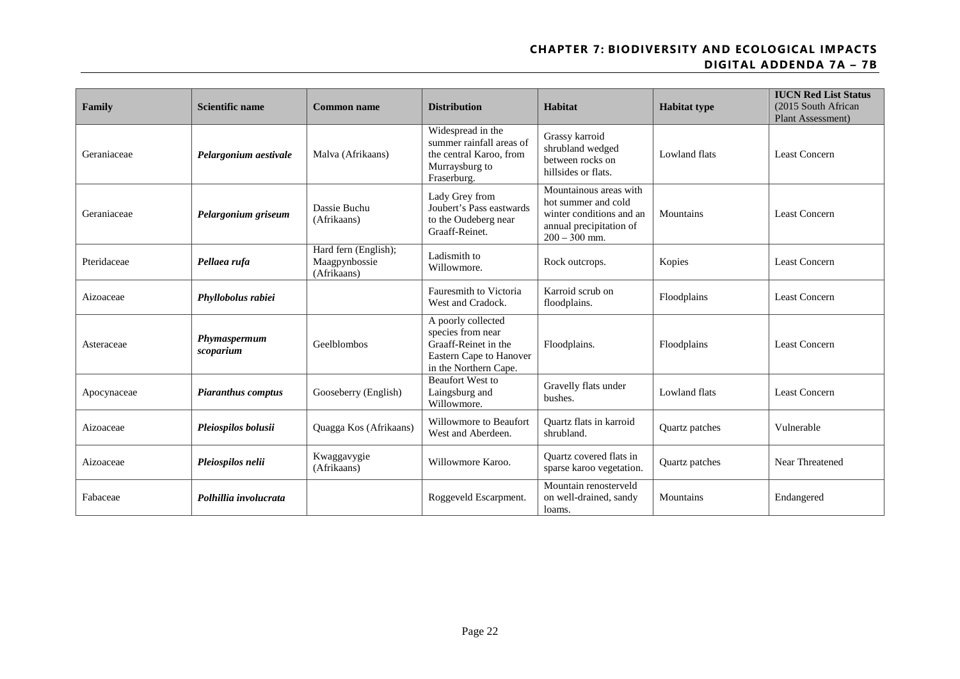| Family      | Scientific name           | <b>Common name</b>                                   | <b>Distribution</b>                                                                                                 | Habitat                                                                                                                 | <b>Habitat type</b> | <b>IUCN Red List Status</b><br>(2015 South African<br><b>Plant Assessment</b> ) |
|-------------|---------------------------|------------------------------------------------------|---------------------------------------------------------------------------------------------------------------------|-------------------------------------------------------------------------------------------------------------------------|---------------------|---------------------------------------------------------------------------------|
| Geraniaceae | Pelargonium aestivale     | Malva (Afrikaans)                                    | Widespread in the<br>summer rainfall areas of<br>the central Karoo, from<br>Murraysburg to<br>Fraserburg.           | Grassy karroid<br>shrubland wedged<br>between rocks on<br>hillsides or flats.                                           | Lowland flats       | <b>Least Concern</b>                                                            |
| Geraniaceae | Pelargonium griseum       | Dassie Buchu<br>(Afrikaans)                          | Lady Grey from<br>Joubert's Pass eastwards<br>to the Oudeberg near<br>Graaff-Reinet.                                | Mountainous areas with<br>hot summer and cold<br>winter conditions and an<br>annual precipitation of<br>$200 - 300$ mm. | Mountains           | <b>Least Concern</b>                                                            |
| Pteridaceae | Pellaea rufa              | Hard fern (English);<br>Maagpynbossie<br>(Afrikaans) | Ladismith to<br>Willowmore.                                                                                         | Rock outcrops.                                                                                                          | Kopies              | <b>Least Concern</b>                                                            |
| Aizoaceae   | Phyllobolus rabiei        |                                                      | Fauresmith to Victoria<br>West and Cradock.                                                                         | Karroid scrub on<br>floodplains.                                                                                        | Floodplains         | <b>Least Concern</b>                                                            |
| Asteraceae  | Phymaspermum<br>scoparium | Geelblombos                                          | A poorly collected<br>species from near<br>Graaff-Reinet in the<br>Eastern Cape to Hanover<br>in the Northern Cape. | Floodplains.                                                                                                            | Floodplains         | <b>Least Concern</b>                                                            |
| Apocynaceae | <b>Piaranthus comptus</b> | Gooseberry (English)                                 | <b>Beaufort West to</b><br>Laingsburg and<br>Willowmore.                                                            | Gravelly flats under<br>bushes.                                                                                         | Lowland flats       | <b>Least Concern</b>                                                            |
| Aizoaceae   | Pleiospilos bolusii       | Quagga Kos (Afrikaans)                               | Willowmore to Beaufort<br>West and Aberdeen.                                                                        | Quartz flats in karroid<br>shrubland.                                                                                   | Quartz patches      | Vulnerable                                                                      |
| Aizoaceae   | Pleiospilos nelii         | Kwaggavygie<br>(Afrikaans)                           | Willowmore Karoo.                                                                                                   | <b>Ouartz</b> covered flats in<br>sparse karoo vegetation.                                                              | Quartz patches      | Near Threatened                                                                 |
| Fabaceae    | Polhillia involucrata     |                                                      | Roggeveld Escarpment.                                                                                               | Mountain renosterveld<br>on well-drained, sandy<br>loams.                                                               | Mountains           | Endangered                                                                      |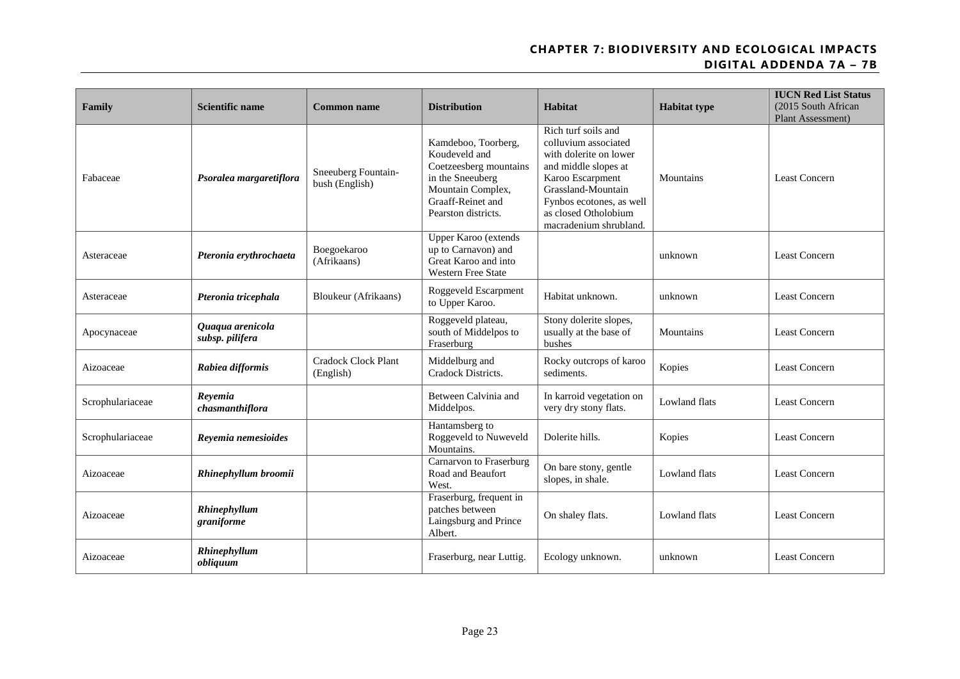| Family           | <b>Scientific name</b>              | <b>Common name</b>                      | <b>Distribution</b>                                                                                                                                 | Habitat                                                                                                                                                                                                               | <b>Habitat type</b>  | <b>IUCN Red List Status</b><br>(2015 South African<br>Plant Assessment) |
|------------------|-------------------------------------|-----------------------------------------|-----------------------------------------------------------------------------------------------------------------------------------------------------|-----------------------------------------------------------------------------------------------------------------------------------------------------------------------------------------------------------------------|----------------------|-------------------------------------------------------------------------|
| Fabaceae         | Psoralea margaretiflora             | Sneeuberg Fountain-<br>bush (English)   | Kamdeboo, Toorberg,<br>Koudeveld and<br>Coetzeesberg mountains<br>in the Sneeuberg<br>Mountain Complex,<br>Graaff-Reinet and<br>Pearston districts. | Rich turf soils and<br>colluvium associated<br>with dolerite on lower<br>and middle slopes at<br>Karoo Escarpment<br>Grassland-Mountain<br>Fynbos ecotones, as well<br>as closed Otholobium<br>macradenium shrubland. | Mountains            | <b>Least Concern</b>                                                    |
| Asteraceae       | Pteronia erythrochaeta              | Boegoekaroo<br>(Afrikaans)              | Upper Karoo (extends<br>up to Carnavon) and<br>Great Karoo and into<br><b>Western Free State</b>                                                    |                                                                                                                                                                                                                       | unknown              | <b>Least Concern</b>                                                    |
| Asteraceae       | Pteronia tricephala                 | Bloukeur (Afrikaans)                    | Roggeveld Escarpment<br>to Upper Karoo.                                                                                                             | Habitat unknown.                                                                                                                                                                                                      | unknown              | <b>Least Concern</b>                                                    |
| Apocynaceae      | Quaqua arenicola<br>subsp. pilifera |                                         | Roggeveld plateau,<br>south of Middelpos to<br>Fraserburg                                                                                           | Stony dolerite slopes,<br>usually at the base of<br>bushes                                                                                                                                                            | Mountains            | <b>Least Concern</b>                                                    |
| Aizoaceae        | Rabiea difformis                    | <b>Cradock Clock Plant</b><br>(English) | Middelburg and<br>Cradock Districts.                                                                                                                | Rocky outcrops of karoo<br>sediments.                                                                                                                                                                                 | Kopies               | <b>Least Concern</b>                                                    |
| Scrophulariaceae | Revemia<br>chasmanthiflora          |                                         | Between Calvinia and<br>Middelpos.                                                                                                                  | In karroid vegetation on<br>very dry stony flats.                                                                                                                                                                     | <b>Lowland flats</b> | <b>Least Concern</b>                                                    |
| Scrophulariaceae | Reyemia nemesioides                 |                                         | Hantamsberg to<br>Roggeveld to Nuweveld<br>Mountains.                                                                                               | Dolerite hills.                                                                                                                                                                                                       | Kopies               | <b>Least Concern</b>                                                    |
| Aizoaceae        | Rhinephyllum broomii                |                                         | Carnarvon to Fraserburg<br>Road and Beaufort<br>West.                                                                                               | On bare stony, gentle<br>slopes, in shale.                                                                                                                                                                            | <b>Lowland flats</b> | <b>Least Concern</b>                                                    |
| Aizoaceae        | Rhinephyllum<br>graniforme          |                                         | Fraserburg, frequent in<br>patches between<br>Laingsburg and Prince<br>Albert.                                                                      | On shaley flats.                                                                                                                                                                                                      | Lowland flats        | <b>Least Concern</b>                                                    |
| Aizoaceae        | Rhinephyllum<br>obliquum            |                                         | Fraserburg, near Luttig.                                                                                                                            | Ecology unknown.                                                                                                                                                                                                      | unknown              | <b>Least Concern</b>                                                    |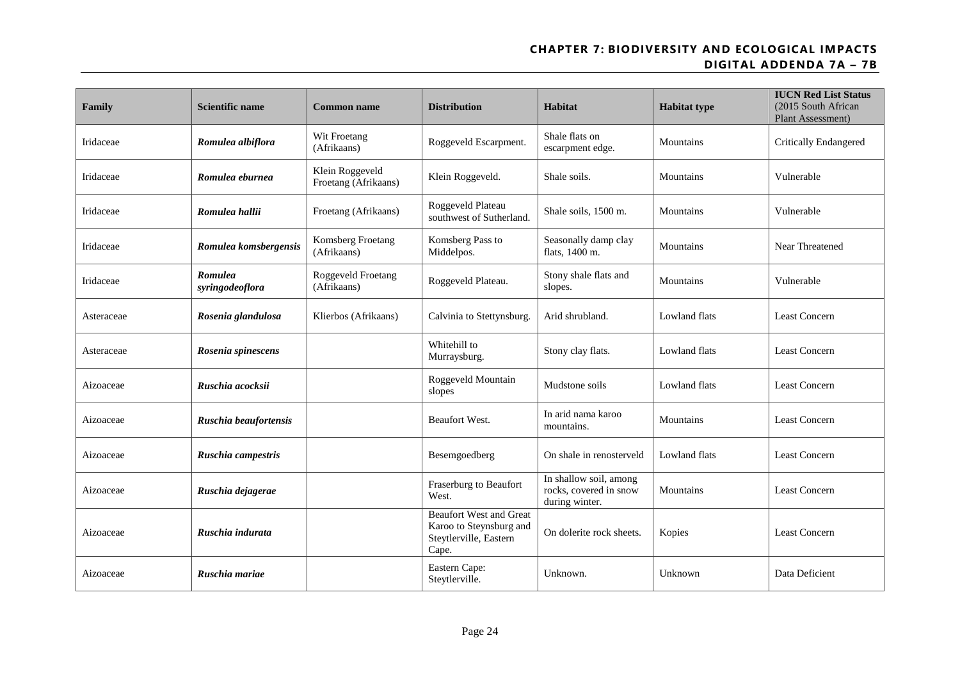| Family     | <b>Scientific name</b>     | <b>Common name</b>                      | <b>Distribution</b>                                                                          | Habitat                                                            | <b>Habitat type</b> | <b>IUCN Red List Status</b><br>(2015 South African<br>Plant Assessment) |
|------------|----------------------------|-----------------------------------------|----------------------------------------------------------------------------------------------|--------------------------------------------------------------------|---------------------|-------------------------------------------------------------------------|
| Iridaceae  | Romulea albiflora          | Wit Froetang<br>(Afrikaans)             | Roggeveld Escarpment.                                                                        | Shale flats on<br>escarpment edge.                                 | Mountains           | <b>Critically Endangered</b>                                            |
| Iridaceae  | Romulea eburnea            | Klein Roggeveld<br>Froetang (Afrikaans) | Klein Roggeveld.                                                                             | Shale soils.                                                       | Mountains           | Vulnerable                                                              |
| Iridaceae  | Romulea hallii             | Froetang (Afrikaans)                    | Roggeveld Plateau<br>southwest of Sutherland.                                                | Shale soils, 1500 m.                                               | Mountains           | Vulnerable                                                              |
| Iridaceae  | Romulea komsbergensis      | Komsberg Froetang<br>(Afrikaans)        | Komsberg Pass to<br>Middelpos.                                                               | Seasonally damp clay<br>flats, 1400 m.                             | Mountains           | Near Threatened                                                         |
| Iridaceae  | Romulea<br>syringodeoflora | Roggeveld Froetang<br>(Afrikaans)       | Roggeveld Plateau.                                                                           | Stony shale flats and<br>slopes.                                   | Mountains           | Vulnerable                                                              |
| Asteraceae | Rosenia glandulosa         | Klierbos (Afrikaans)                    | Calvinia to Stettynsburg                                                                     | Arid shrubland.                                                    | Lowland flats       | Least Concern                                                           |
| Asteraceae | Rosenia spinescens         |                                         | Whitehill to<br>Murraysburg.                                                                 | Stony clay flats.                                                  | Lowland flats       | <b>Least Concern</b>                                                    |
| Aizoaceae  | Ruschia acocksii           |                                         | Roggeveld Mountain<br>slopes                                                                 | Mudstone soils                                                     | Lowland flats       | <b>Least Concern</b>                                                    |
| Aizoaceae  | Ruschia beaufortensis      |                                         | <b>Beaufort West.</b>                                                                        | In arid nama karoo<br>mountains.                                   | Mountains           | Least Concern                                                           |
| Aizoaceae  | Ruschia campestris         |                                         | Besemgoedberg                                                                                | On shale in renosterveld                                           | Lowland flats       | <b>Least Concern</b>                                                    |
| Aizoaceae  | Ruschia dejagerae          |                                         | Fraserburg to Beaufort<br>West.                                                              | In shallow soil, among<br>rocks, covered in snow<br>during winter. | Mountains           | <b>Least Concern</b>                                                    |
| Aizoaceae  | Ruschia indurata           |                                         | <b>Beaufort West and Great</b><br>Karoo to Steynsburg and<br>Steytlerville, Eastern<br>Cape. | On dolerite rock sheets.                                           | Kopies              | Least Concern                                                           |
| Aizoaceae  | Ruschia mariae             |                                         | Eastern Cape:<br>Steytlerville.                                                              | Unknown.                                                           | Unknown             | Data Deficient                                                          |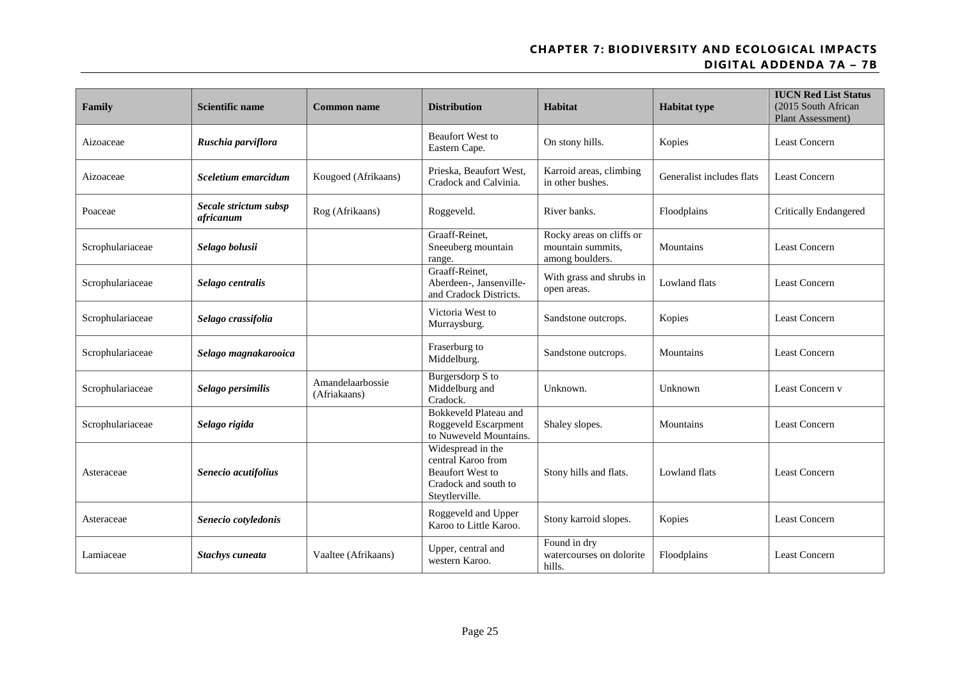| Family           | <b>Scientific name</b>             | <b>Common name</b>               | <b>Distribution</b>                                                                                          | Habitat                                                          | <b>Habitat type</b>       | <b>IUCN Red List Status</b><br>(2015 South African<br>Plant Assessment) |  |
|------------------|------------------------------------|----------------------------------|--------------------------------------------------------------------------------------------------------------|------------------------------------------------------------------|---------------------------|-------------------------------------------------------------------------|--|
| Aizoaceae        | Ruschia parviflora                 |                                  | <b>Beaufort West to</b><br>Eastern Cape.                                                                     | On stony hills.                                                  | Kopies                    | <b>Least Concern</b>                                                    |  |
| Aizoaceae        | Sceletium emarcidum                | Kougoed (Afrikaans)              | Prieska, Beaufort West,<br>Cradock and Calvinia.                                                             | Karroid areas, climbing<br>in other bushes.                      | Generalist includes flats | <b>Least Concern</b>                                                    |  |
| Poaceae          | Secale strictum subsp<br>africanum | Rog (Afrikaans)                  | Roggeveld.                                                                                                   | River banks.                                                     | Floodplains               | <b>Critically Endangered</b>                                            |  |
| Scrophulariaceae | Selago bolusii                     |                                  | Graaff-Reinet,<br>Sneeuberg mountain<br>range.                                                               | Rocky areas on cliffs or<br>mountain summits,<br>among boulders. | Mountains                 | <b>Least Concern</b>                                                    |  |
| Scrophulariaceae | Selago centralis                   |                                  | Graaff-Reinet,<br>Aberdeen-, Jansenville-<br>and Cradock Districts.                                          | With grass and shrubs in<br>open areas.                          | Lowland flats             | <b>Least Concern</b>                                                    |  |
| Scrophulariaceae | Selago crassifolia                 |                                  | Victoria West to<br>Murraysburg.                                                                             | Sandstone outcrops.                                              | Kopies                    | <b>Least Concern</b>                                                    |  |
| Scrophulariaceae | Selago magnakarooica               |                                  | Fraserburg to<br>Middelburg.                                                                                 | Sandstone outcrops.                                              | Mountains                 | <b>Least Concern</b>                                                    |  |
| Scrophulariaceae | Selago persimilis                  | Amandelaarbossie<br>(Afriakaans) | Burgersdorp S to<br>Middelburg and<br>Cradock.                                                               | Unknown.                                                         | Unknown                   | Least Concern v                                                         |  |
| Scrophulariaceae | Selago rigida                      |                                  | <b>Bokkeveld Plateau and</b><br>Roggeveld Escarpment<br>to Nuweveld Mountains.                               | Shaley slopes.                                                   | Mountains                 | Least Concern                                                           |  |
| Asteraceae       | Senecio acutifolius                |                                  | Widespread in the<br>central Karoo from<br><b>Beaufort West to</b><br>Cradock and south to<br>Steytlerville. | Stony hills and flats.                                           | Lowland flats             | Least Concern                                                           |  |
| Asteraceae       | Senecio cotyledonis                |                                  | Roggeveld and Upper<br>Karoo to Little Karoo.                                                                | Stony karroid slopes.                                            | Kopies                    | <b>Least Concern</b>                                                    |  |
| Lamiaceae        | <b>Stachys cuneata</b>             | Vaaltee (Afrikaans)              | Upper, central and<br>western Karoo.                                                                         | Found in dry<br>watercourses on dolorite<br>hills.               | Floodplains               | <b>Least Concern</b>                                                    |  |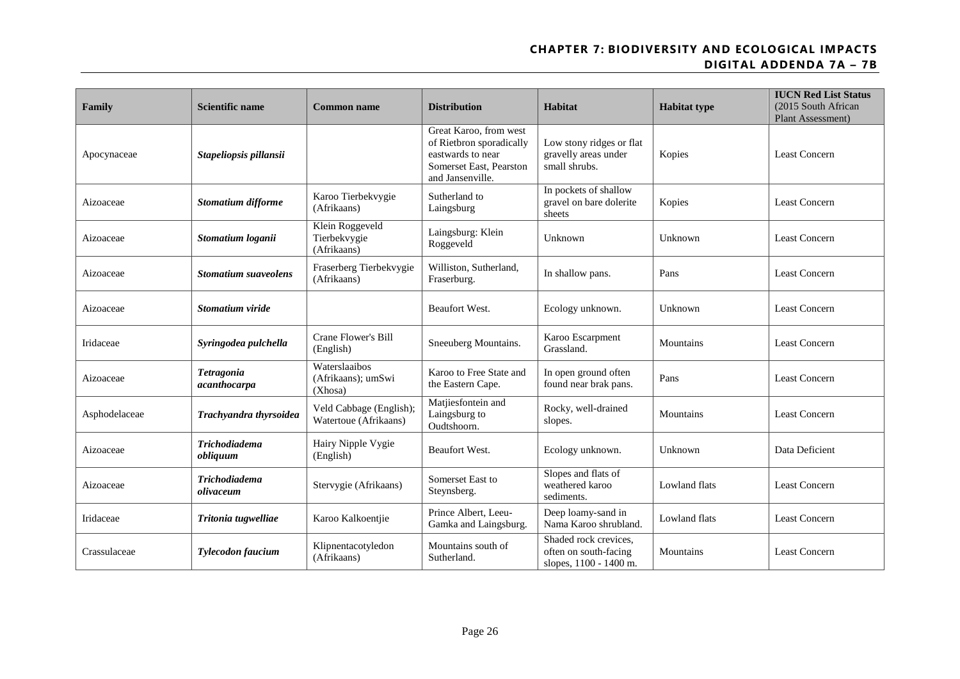| Family        | <b>Scientific name</b>            | <b>Common name</b>                               | <b>Distribution</b>                                                                                                    | Habitat                                                                  | <b>Habitat type</b> | <b>IUCN Red List Status</b><br>(2015 South African<br>Plant Assessment) |
|---------------|-----------------------------------|--------------------------------------------------|------------------------------------------------------------------------------------------------------------------------|--------------------------------------------------------------------------|---------------------|-------------------------------------------------------------------------|
| Apocynaceae   | Stapeliopsis pillansii            |                                                  | Great Karoo, from west<br>of Rietbron sporadically<br>eastwards to near<br>Somerset East, Pearston<br>and Jansenville. | Low stony ridges or flat<br>gravelly areas under<br>small shrubs.        | Kopies              | <b>Least Concern</b>                                                    |
| Aizoaceae     | Stomatium difforme                | Karoo Tierbekvygie<br>(Afrikaans)                | Sutherland to<br>Laingsburg                                                                                            | In pockets of shallow<br>gravel on bare dolerite<br>sheets               | Kopies              |                                                                         |
| Aizoaceae     | Stomatium loganii                 | Klein Roggeveld<br>Tierbekvygie<br>(Afrikaans)   | Laingsburg: Klein<br>Roggeveld                                                                                         | Unknown                                                                  | Unknown             | <b>Least Concern</b>                                                    |
| Aizoaceae     | <b>Stomatium suaveolens</b>       | Fraserberg Tierbekvygie<br>(Afrikaans)           | Williston, Sutherland,<br>Fraserburg.                                                                                  | In shallow pans.                                                         | Pans                | <b>Least Concern</b>                                                    |
| Aizoaceae     | Stomatium viride                  |                                                  | Beaufort West.                                                                                                         | Ecology unknown.                                                         | Unknown             | <b>Least Concern</b>                                                    |
| Iridaceae     | Syringodea pulchella              | Crane Flower's Bill<br>(English)                 | Sneeuberg Mountains.                                                                                                   | Karoo Escarpment<br>Grassland.                                           | Mountains           | <b>Least Concern</b>                                                    |
| Aizoaceae     | <b>Tetragonia</b><br>acanthocarpa | Waterslaaibos<br>(Afrikaans); umSwi<br>(Xhosa)   | Karoo to Free State and<br>the Eastern Cape.                                                                           | In open ground often<br>found near brak pans.                            | Pans                | <b>Least Concern</b>                                                    |
| Asphodelaceae | Trachyandra thyrsoidea            | Veld Cabbage (English);<br>Watertoue (Afrikaans) | Matjiesfontein and<br>Laingsburg to<br>Oudtshoorn.                                                                     | Rocky, well-drained<br>slopes.                                           | Mountains           | <b>Least Concern</b>                                                    |
| Aizoaceae     | <b>Trichodiadema</b><br>obliguum  | Hairy Nipple Vygie<br>(English)                  | <b>Beaufort West.</b>                                                                                                  | Ecology unknown.                                                         | Unknown             | Data Deficient                                                          |
| Aizoaceae     | <b>Trichodiadema</b><br>olivaceum | Stervygie (Afrikaans)                            | Somerset East to<br>Steynsberg.                                                                                        | Slopes and flats of<br>weathered karoo<br>Lowland flats<br>sediments.    |                     | <b>Least Concern</b>                                                    |
| Iridaceae     | Tritonia tugwelliae               | Karoo Kalkoentjie                                | Prince Albert, Leeu-<br>Gamka and Laingsburg.                                                                          | Deep loamy-sand in<br>Nama Karoo shrubland.                              | Lowland flats       |                                                                         |
| Crassulaceae  | <b>Tylecodon faucium</b>          | Klipnentacotyledon<br>(Afrikaans)                | Mountains south of<br>Sutherland.                                                                                      | Shaded rock crevices,<br>often on south-facing<br>slopes, 1100 - 1400 m. | Mountains           | <b>Least Concern</b>                                                    |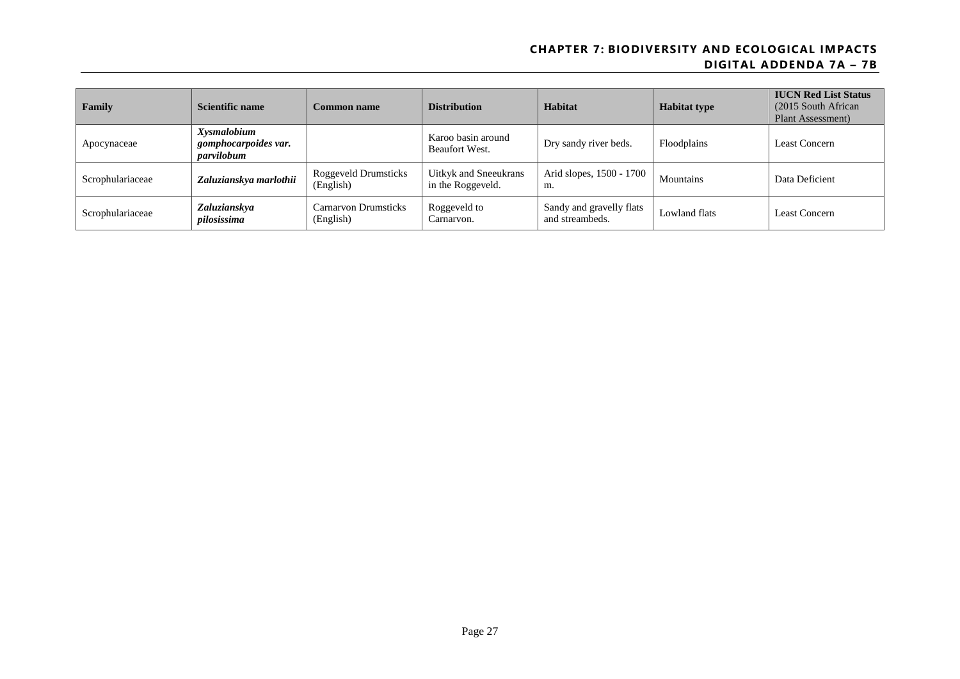| Family           | Scientific name                                   | <b>Common name</b>                       | <b>Distribution</b>                        | Habitat                                     | <b>Habitat type</b> | <b>IUCN Red List Status</b><br>(2015 South African)<br>Plant Assessment) |
|------------------|---------------------------------------------------|------------------------------------------|--------------------------------------------|---------------------------------------------|---------------------|--------------------------------------------------------------------------|
| Apocynaceae      | Xysmalobium<br>gomphocarpoides var.<br>parvilobum |                                          | Karoo basin around<br>Beaufort West.       | Dry sandy river beds.                       | Floodplains         | Least Concern                                                            |
| Scrophulariaceae | Zaluzianskya marlothii                            | <b>Roggeveld Drumsticks</b><br>(English) | Uitkyk and Sneeukrans<br>in the Roggeveld. | Arid slopes, 1500 - 1700<br>m.              | Mountains           | Data Deficient                                                           |
| Scrophulariaceae | Zaluzianskya<br>pilosissima                       | Carnarvon Drumsticks<br>(English)        | Roggeveld to<br>Carnarvon.                 | Sandy and gravelly flats<br>and streambeds. | Lowland flats       | Least Concern                                                            |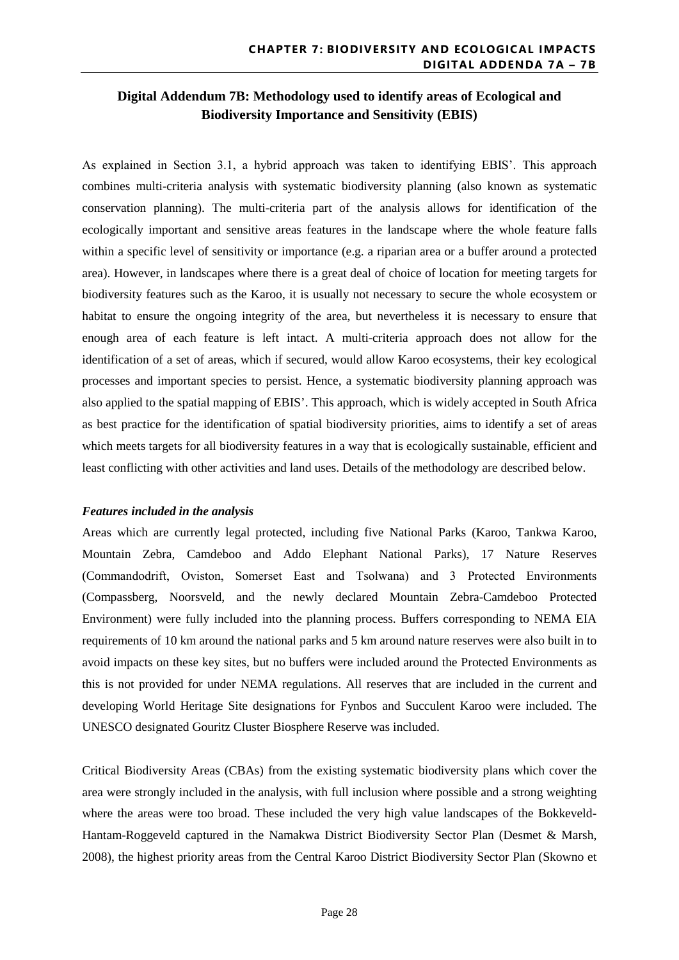# **Digital Addendum 7B: Methodology used to identify areas of Ecological and Biodiversity Importance and Sensitivity (EBIS)**

As explained in Section 3.1, a hybrid approach was taken to identifying EBIS'. This approach combines multi-criteria analysis with systematic biodiversity planning (also known as systematic conservation planning). The multi-criteria part of the analysis allows for identification of the ecologically important and sensitive areas features in the landscape where the whole feature falls within a specific level of sensitivity or importance (e.g. a riparian area or a buffer around a protected area). However, in landscapes where there is a great deal of choice of location for meeting targets for biodiversity features such as the Karoo, it is usually not necessary to secure the whole ecosystem or habitat to ensure the ongoing integrity of the area, but nevertheless it is necessary to ensure that enough area of each feature is left intact. A multi-criteria approach does not allow for the identification of a set of areas, which if secured, would allow Karoo ecosystems, their key ecological processes and important species to persist. Hence, a systematic biodiversity planning approach was also applied to the spatial mapping of EBIS'. This approach, which is widely accepted in South Africa as best practice for the identification of spatial biodiversity priorities, aims to identify a set of areas which meets targets for all biodiversity features in a way that is ecologically sustainable, efficient and least conflicting with other activities and land uses. Details of the methodology are described below.

#### *Features included in the analysis*

Areas which are currently legal protected, including five National Parks (Karoo, Tankwa Karoo, Mountain Zebra, Camdeboo and Addo Elephant National Parks), 17 Nature Reserves (Commandodrift, Oviston, Somerset East and Tsolwana) and 3 Protected Environments (Compassberg, Noorsveld, and the newly declared Mountain Zebra-Camdeboo Protected Environment) were fully included into the planning process. Buffers corresponding to NEMA EIA requirements of 10 km around the national parks and 5 km around nature reserves were also built in to avoid impacts on these key sites, but no buffers were included around the Protected Environments as this is not provided for under NEMA regulations. All reserves that are included in the current and developing World Heritage Site designations for Fynbos and Succulent Karoo were included. The UNESCO designated Gouritz Cluster Biosphere Reserve was included.

Critical Biodiversity Areas (CBAs) from the existing systematic biodiversity plans which cover the area were strongly included in the analysis, with full inclusion where possible and a strong weighting where the areas were too broad. These included the very high value landscapes of the Bokkeveld-Hantam-Roggeveld captured in the Namakwa District Biodiversity Sector Plan (Desmet & Marsh, 2008), the highest priority areas from the Central Karoo District Biodiversity Sector Plan (Skowno et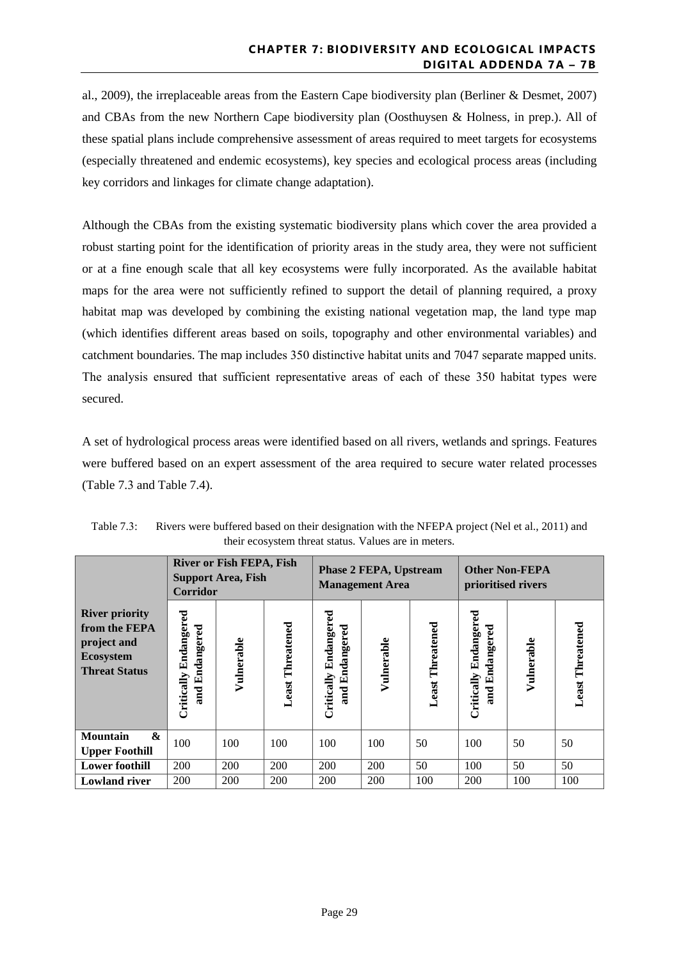al., 2009), the irreplaceable areas from the Eastern Cape biodiversity plan (Berliner & Desmet, 2007) and CBAs from the new Northern Cape biodiversity plan (Oosthuysen & Holness, in prep.). All of these spatial plans include comprehensive assessment of areas required to meet targets for ecosystems (especially threatened and endemic ecosystems), key species and ecological process areas (including key corridors and linkages for climate change adaptation).

Although the CBAs from the existing systematic biodiversity plans which cover the area provided a robust starting point for the identification of priority areas in the study area, they were not sufficient or at a fine enough scale that all key ecosystems were fully incorporated. As the available habitat maps for the area were not sufficiently refined to support the detail of planning required, a proxy habitat map was developed by combining the existing national vegetation map, the land type map (which identifies different areas based on soils, topography and other environmental variables) and catchment boundaries. The map includes 350 distinctive habitat units and 7047 separate mapped units. The analysis ensured that sufficient representative areas of each of these 350 habitat types were secured.

A set of hydrological process areas were identified based on all rivers, wetlands and springs. Features were buffered based on an expert assessment of the area required to secure water related processes (Table 7.3 and Table 7.4).

|                                                                                                   | <b>River or Fish FEPA, Fish</b><br><b>Support Area, Fish</b><br>Corridor |            | <b>Phase 2 FEPA, Upstream</b><br><b>Management Area</b> |                                               |            | <b>Other Non-FEPA</b><br>prioritised rivers |                                         |            |                         |
|---------------------------------------------------------------------------------------------------|--------------------------------------------------------------------------|------------|---------------------------------------------------------|-----------------------------------------------|------------|---------------------------------------------|-----------------------------------------|------------|-------------------------|
| <b>River priority</b><br>from the FEPA<br>project and<br><b>Ecosystem</b><br><b>Threat Status</b> | Endangered<br>and Endangered<br>Critically                               | Vulnerable | <b>Least Threatened</b>                                 | Endangered<br>Endangered<br>Critically<br>and | Vulnerable | <b>Least Threatened</b>                     | Critically Endangered<br>and Endangered | Vulnerable | <b>Least Threatened</b> |
| <b>Mountain</b><br>$\boldsymbol{\&}$<br><b>Upper Foothill</b>                                     | 100                                                                      | 100        | 100                                                     | 100                                           | 100        | 50                                          | 100                                     | 50         | 50                      |
| <b>Lower foothill</b>                                                                             | 200                                                                      | 200        | 200                                                     | 200                                           | 200        | 50                                          | 100                                     | 50         | 50                      |
| <b>Lowland river</b>                                                                              | 200                                                                      | 200        | 200                                                     | 200                                           | 200        | 100                                         | 200                                     | 100        | 100                     |

Table 7.3: Rivers were buffered based on their designation with the NFEPA project (Nel et al., 2011) and their ecosystem threat status. Values are in meters.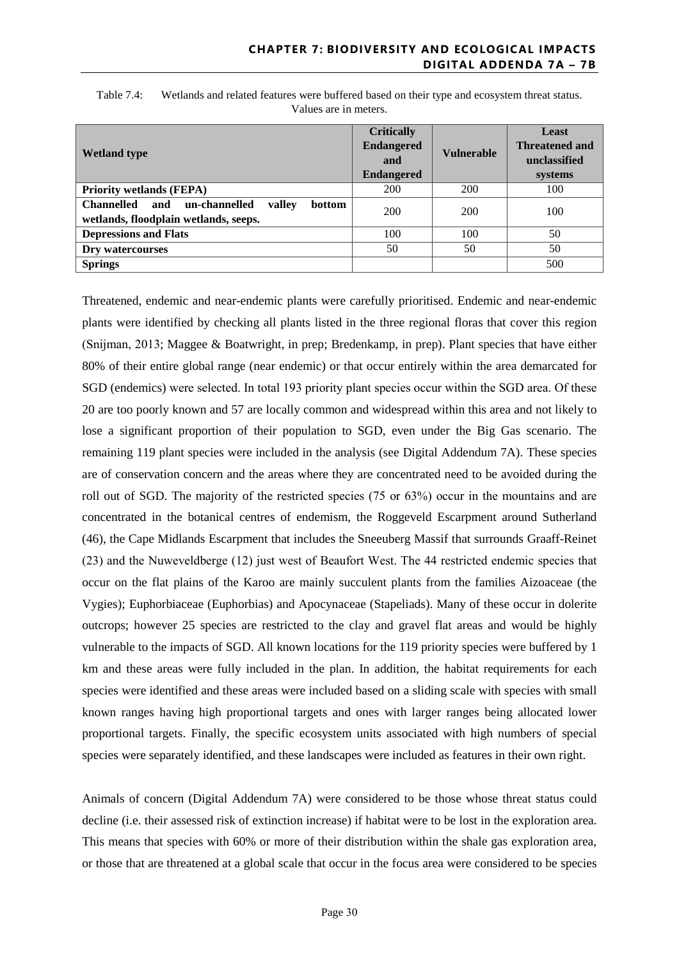| <b>Wetland type</b>                                                                                           | <b>Critically</b><br><b>Endangered</b><br>and<br><b>Endangered</b> | <b>Vulnerable</b> | Least<br><b>Threatened and</b><br>unclassified<br>systems |
|---------------------------------------------------------------------------------------------------------------|--------------------------------------------------------------------|-------------------|-----------------------------------------------------------|
| <b>Priority wetlands (FEPA)</b>                                                                               | 200                                                                | 200               | 100                                                       |
| <b>Channelled</b><br>un-channelled<br>and<br>valley<br><b>bottom</b><br>wetlands, floodplain wetlands, seeps. | 200                                                                | 200               | 100                                                       |
| <b>Depressions and Flats</b>                                                                                  | 100                                                                | 100               | 50                                                        |
| Dry watercourses                                                                                              | 50                                                                 | 50                | 50                                                        |
| <b>Springs</b>                                                                                                |                                                                    |                   | 500                                                       |

Table 7.4: Wetlands and related features were buffered based on their type and ecosystem threat status. Values are in meters.

Threatened, endemic and near-endemic plants were carefully prioritised. Endemic and near-endemic plants were identified by checking all plants listed in the three regional floras that cover this region (Snijman, 2013; Maggee & Boatwright, in prep; Bredenkamp, in prep). Plant species that have either 80% of their entire global range (near endemic) or that occur entirely within the area demarcated for SGD (endemics) were selected. In total 193 priority plant species occur within the SGD area. Of these 20 are too poorly known and 57 are locally common and widespread within this area and not likely to lose a significant proportion of their population to SGD, even under the Big Gas scenario. The remaining 119 plant species were included in the analysis (see Digital Addendum 7A). These species are of conservation concern and the areas where they are concentrated need to be avoided during the roll out of SGD. The majority of the restricted species (75 or 63%) occur in the mountains and are concentrated in the botanical centres of endemism, the Roggeveld Escarpment around Sutherland (46), the Cape Midlands Escarpment that includes the Sneeuberg Massif that surrounds Graaff-Reinet (23) and the Nuweveldberge (12) just west of Beaufort West. The 44 restricted endemic species that occur on the flat plains of the Karoo are mainly succulent plants from the families Aizoaceae (the Vygies); Euphorbiaceae (Euphorbias) and Apocynaceae (Stapeliads). Many of these occur in dolerite outcrops; however 25 species are restricted to the clay and gravel flat areas and would be highly vulnerable to the impacts of SGD. All known locations for the 119 priority species were buffered by 1 km and these areas were fully included in the plan. In addition, the habitat requirements for each species were identified and these areas were included based on a sliding scale with species with small known ranges having high proportional targets and ones with larger ranges being allocated lower proportional targets. Finally, the specific ecosystem units associated with high numbers of special species were separately identified, and these landscapes were included as features in their own right.

Animals of concern (Digital Addendum 7A) were considered to be those whose threat status could decline (i.e. their assessed risk of extinction increase) if habitat were to be lost in the exploration area. This means that species with 60% or more of their distribution within the shale gas exploration area, or those that are threatened at a global scale that occur in the focus area were considered to be species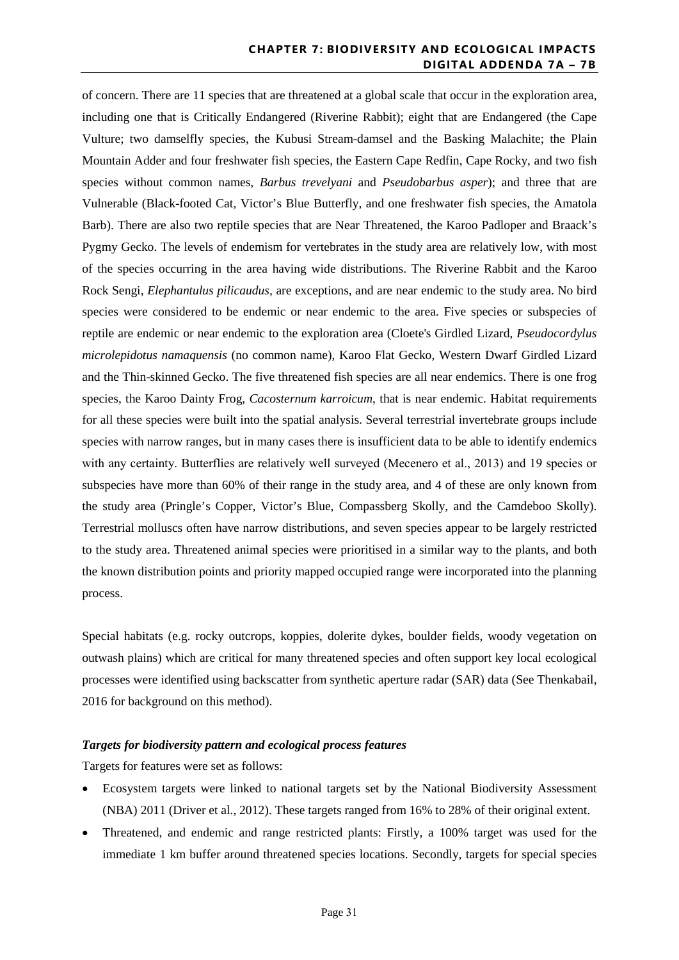of concern. There are 11 species that are threatened at a global scale that occur in the exploration area, including one that is Critically Endangered (Riverine Rabbit); eight that are Endangered (the Cape Vulture; two damselfly species, the Kubusi Stream-damsel and the Basking Malachite; the Plain Mountain Adder and four freshwater fish species, the Eastern Cape Redfin, Cape Rocky, and two fish species without common names, *Barbus trevelyani* and *Pseudobarbus asper*); and three that are Vulnerable (Black-footed Cat, Victor's Blue Butterfly, and one freshwater fish species, the Amatola Barb). There are also two reptile species that are Near Threatened, the Karoo Padloper and Braack's Pygmy Gecko. The levels of endemism for vertebrates in the study area are relatively low, with most of the species occurring in the area having wide distributions. The Riverine Rabbit and the Karoo Rock Sengi, *Elephantulus pilicaudus,* are exceptions, and are near endemic to the study area. No bird species were considered to be endemic or near endemic to the area. Five species or subspecies of reptile are endemic or near endemic to the exploration area (Cloete's Girdled Lizard, *Pseudocordylus microlepidotus namaquensis* (no common name), Karoo Flat Gecko, Western Dwarf Girdled Lizard and the Thin-skinned Gecko. The five threatened fish species are all near endemics. There is one frog species, the Karoo Dainty Frog, *Cacosternum karroicum*, that is near endemic. Habitat requirements for all these species were built into the spatial analysis. Several terrestrial invertebrate groups include species with narrow ranges, but in many cases there is insufficient data to be able to identify endemics with any certainty. Butterflies are relatively well surveyed (Mecenero et al., 2013) and 19 species or subspecies have more than 60% of their range in the study area, and 4 of these are only known from the study area (Pringle's Copper, Victor's Blue, Compassberg Skolly, and the Camdeboo Skolly). Terrestrial molluscs often have narrow distributions, and seven species appear to be largely restricted to the study area. Threatened animal species were prioritised in a similar way to the plants, and both the known distribution points and priority mapped occupied range were incorporated into the planning process.

Special habitats (e.g. rocky outcrops, koppies, dolerite dykes, boulder fields, woody vegetation on outwash plains) which are critical for many threatened species and often support key local ecological processes were identified using backscatter from synthetic aperture radar (SAR) data (See Thenkabail, 2016 for background on this method).

#### *Targets for biodiversity pattern and ecological process features*

Targets for features were set as follows:

- Ecosystem targets were linked to national targets set by the National Biodiversity Assessment (NBA) 2011 (Driver et al*.*, 2012). These targets ranged from 16% to 28% of their original extent.
- Threatened, and endemic and range restricted plants: Firstly, a 100% target was used for the immediate 1 km buffer around threatened species locations. Secondly, targets for special species